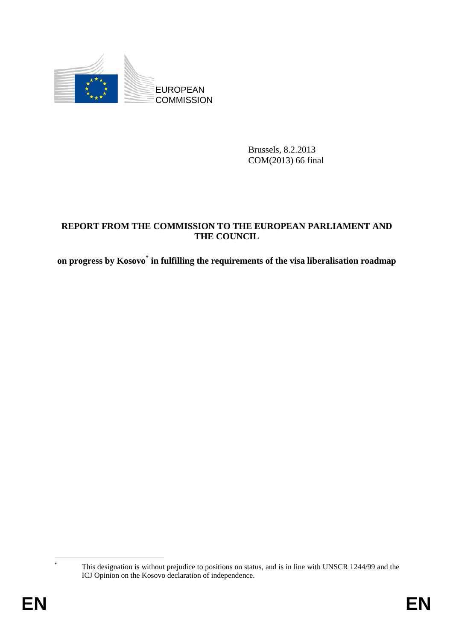

Brussels, 8.2.2013 COM(2013) 66 final

#### **REPORT FROM THE COMMISSION TO THE EUROPEAN PARLIAMENT AND THE COUNCIL**

**on progress by Kosovo\* in fulfilling the requirements of the visa liberalisation roadmap**

 This designation is without prejudice to positions on status, and is in line with UNSCR 1244/99 and the ICJ Opinion on the Kosovo declaration of independence.

1 \*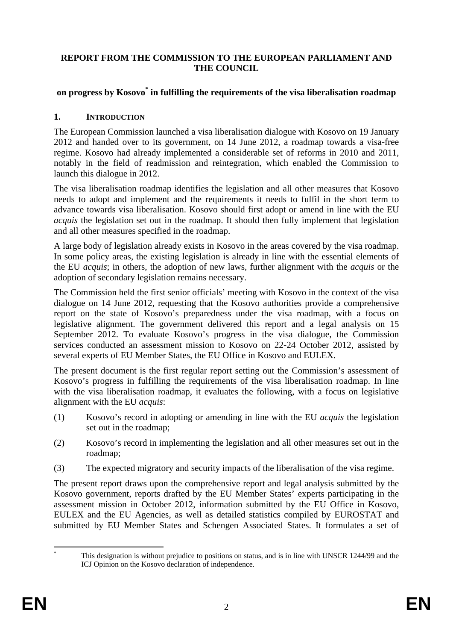#### **REPORT FROM THE COMMISSION TO THE EUROPEAN PARLIAMENT AND THE COUNCIL**

## **on progress by Kosovo\* in fulfilling the requirements of the visa liberalisation roadmap**

#### **1. INTRODUCTION**

The European Commission launched a visa liberalisation dialogue with Kosovo on 19 January 2012 and handed over to its government, on 14 June 2012, a roadmap towards a visa-free regime. Kosovo had already implemented a considerable set of reforms in 2010 and 2011, notably in the field of readmission and reintegration, which enabled the Commission to launch this dialogue in 2012.

The visa liberalisation roadmap identifies the legislation and all other measures that Kosovo needs to adopt and implement and the requirements it needs to fulfil in the short term to advance towards visa liberalisation. Kosovo should first adopt or amend in line with the EU *acquis* the legislation set out in the roadmap. It should then fully implement that legislation and all other measures specified in the roadmap.

A large body of legislation already exists in Kosovo in the areas covered by the visa roadmap. In some policy areas, the existing legislation is already in line with the essential elements of the EU *acquis*; in others, the adoption of new laws, further alignment with the *acquis* or the adoption of secondary legislation remains necessary.

The Commission held the first senior officials' meeting with Kosovo in the context of the visa dialogue on 14 June 2012, requesting that the Kosovo authorities provide a comprehensive report on the state of Kosovo's preparedness under the visa roadmap, with a focus on legislative alignment. The government delivered this report and a legal analysis on 15 September 2012. To evaluate Kosovo's progress in the visa dialogue, the Commission services conducted an assessment mission to Kosovo on 22-24 October 2012, assisted by several experts of EU Member States, the EU Office in Kosovo and EULEX.

The present document is the first regular report setting out the Commission's assessment of Kosovo's progress in fulfilling the requirements of the visa liberalisation roadmap. In line with the visa liberalisation roadmap, it evaluates the following, with a focus on legislative alignment with the EU *acquis*:

- (1) Kosovo's record in adopting or amending in line with the EU *acquis* the legislation set out in the roadmap;
- (2) Kosovo's record in implementing the legislation and all other measures set out in the roadmap;
- (3) The expected migratory and security impacts of the liberalisation of the visa regime.

The present report draws upon the comprehensive report and legal analysis submitted by the Kosovo government, reports drafted by the EU Member States' experts participating in the assessment mission in October 2012, information submitted by the EU Office in Kosovo, EULEX and the EU Agencies, as well as detailed statistics compiled by EUROSTAT and submitted by EU Member States and Schengen Associated States. It formulates a set of

<sup>1</sup> \* This designation is without prejudice to positions on status, and is in line with UNSCR 1244/99 and the ICJ Opinion on the Kosovo declaration of independence.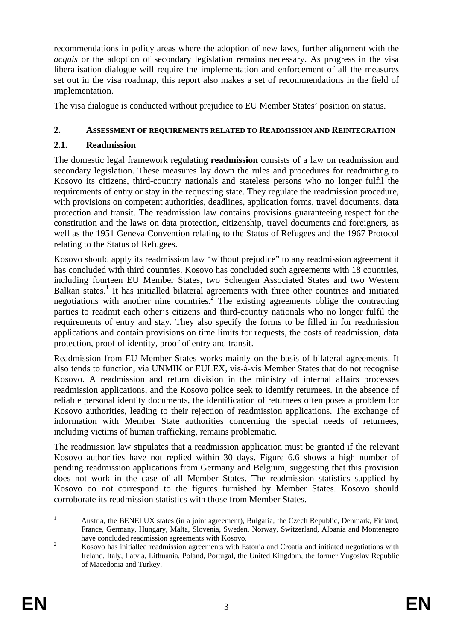recommendations in policy areas where the adoption of new laws, further alignment with the *acquis* or the adoption of secondary legislation remains necessary. As progress in the visa liberalisation dialogue will require the implementation and enforcement of all the measures set out in the visa roadmap, this report also makes a set of recommendations in the field of implementation.

The visa dialogue is conducted without prejudice to EU Member States' position on status.

#### **2. ASSESSMENT OF REQUIREMENTS RELATED TO READMISSION AND REINTEGRATION**

#### **2.1. Readmission**

The domestic legal framework regulating **readmission** consists of a law on readmission and secondary legislation. These measures lay down the rules and procedures for readmitting to Kosovo its citizens, third-country nationals and stateless persons who no longer fulfil the requirements of entry or stay in the requesting state. They regulate the readmission procedure, with provisions on competent authorities, deadlines, application forms, travel documents, data protection and transit. The readmission law contains provisions guaranteeing respect for the constitution and the laws on data protection, citizenship, travel documents and foreigners, as well as the 1951 Geneva Convention relating to the Status of Refugees and the 1967 Protocol relating to the Status of Refugees.

Kosovo should apply its readmission law "without prejudice" to any readmission agreement it has concluded with third countries. Kosovo has concluded such agreements with 18 countries, including fourteen EU Member States, two Schengen Associated States and two Western Balkan states.<sup>1</sup> It has initialled bilateral agreements with three other countries and initiated negotiations with another nine countries.<sup>2</sup> The existing agreements oblige the contracting parties to readmit each other's citizens and third-country nationals who no longer fulfil the requirements of entry and stay. They also specify the forms to be filled in for readmission applications and contain provisions on time limits for requests, the costs of readmission, data protection, proof of identity, proof of entry and transit.

Readmission from EU Member States works mainly on the basis of bilateral agreements. It also tends to function, via UNMIK or EULEX, vis-à-vis Member States that do not recognise Kosovo. A readmission and return division in the ministry of internal affairs processes readmission applications, and the Kosovo police seek to identify returnees. In the absence of reliable personal identity documents, the identification of returnees often poses a problem for Kosovo authorities, leading to their rejection of readmission applications. The exchange of information with Member State authorities concerning the special needs of returnees, including victims of human trafficking, remains problematic.

The readmission law stipulates that a readmission application must be granted if the relevant Kosovo authorities have not replied within 30 days. Figure 6.6 shows a high number of pending readmission applications from Germany and Belgium, suggesting that this provision does not work in the case of all Member States. The readmission statistics supplied by Kosovo do not correspond to the figures furnished by Member States. Kosovo should corroborate its readmission statistics with those from Member States.

 $\frac{1}{1}$  Austria, the BENELUX states (in a joint agreement), Bulgaria, the Czech Republic, Denmark, Finland, France, Germany, Hungary, Malta, Slovenia, Sweden, Norway, Switzerland, Albania and Montenegro have concluded readmission agreements with Kosovo.

Kosovo has initialled readmission agreements with Estonia and Croatia and initiated negotiations with Ireland, Italy, Latvia, Lithuania, Poland, Portugal, the United Kingdom, the former Yugoslav Republic of Macedonia and Turkey.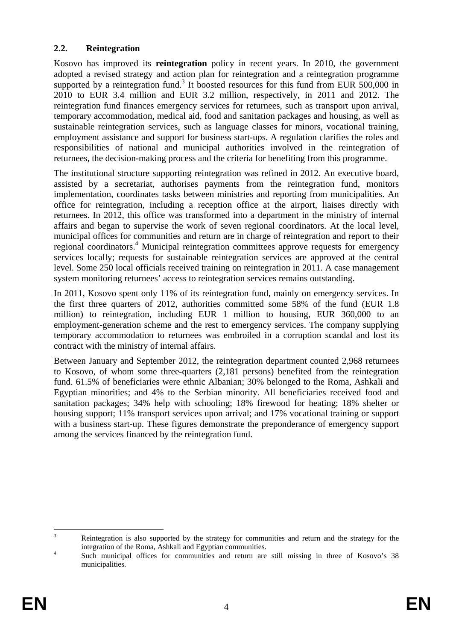### **2.2. Reintegration**

Kosovo has improved its **reintegration** policy in recent years. In 2010, the government adopted a revised strategy and action plan for reintegration and a reintegration programme supported by a reintegration fund.<sup>3</sup> It boosted resources for this fund from EUR 500,000 in 2010 to EUR 3.4 million and EUR 3.2 million, respectively, in 2011 and 2012. The reintegration fund finances emergency services for returnees, such as transport upon arrival, temporary accommodation, medical aid, food and sanitation packages and housing, as well as sustainable reintegration services, such as language classes for minors, vocational training, employment assistance and support for business start-ups. A regulation clarifies the roles and responsibilities of national and municipal authorities involved in the reintegration of returnees, the decision-making process and the criteria for benefiting from this programme.

The institutional structure supporting reintegration was refined in 2012. An executive board, assisted by a secretariat, authorises payments from the reintegration fund, monitors implementation, coordinates tasks between ministries and reporting from municipalities. An office for reintegration, including a reception office at the airport, liaises directly with returnees. In 2012, this office was transformed into a department in the ministry of internal affairs and began to supervise the work of seven regional coordinators. At the local level, municipal offices for communities and return are in charge of reintegration and report to their regional coordinators.<sup>4</sup> Municipal reintegration committees approve requests for emergency services locally; requests for sustainable reintegration services are approved at the central level. Some 250 local officials received training on reintegration in 2011. A case management system monitoring returnees' access to reintegration services remains outstanding.

In 2011, Kosovo spent only 11% of its reintegration fund, mainly on emergency services. In the first three quarters of 2012, authorities committed some 58% of the fund (EUR 1.8 million) to reintegration, including EUR 1 million to housing, EUR 360,000 to an employment-generation scheme and the rest to emergency services. The company supplying temporary accommodation to returnees was embroiled in a corruption scandal and lost its contract with the ministry of internal affairs.

Between January and September 2012, the reintegration department counted 2,968 returnees to Kosovo, of whom some three-quarters (2,181 persons) benefited from the reintegration fund. 61.5% of beneficiaries were ethnic Albanian; 30% belonged to the Roma, Ashkali and Egyptian minorities; and 4% to the Serbian minority. All beneficiaries received food and sanitation packages; 34% help with schooling; 18% firewood for heating; 18% shelter or housing support; 11% transport services upon arrival; and 17% vocational training or support with a business start-up. These figures demonstrate the preponderance of emergency support among the services financed by the reintegration fund.

 $\frac{1}{3}$  Reintegration is also supported by the strategy for communities and return and the strategy for the integration of the Roma, Ashkali and Egyptian communities.

Such municipal offices for communities and return are still missing in three of Kosovo's 38 municipalities.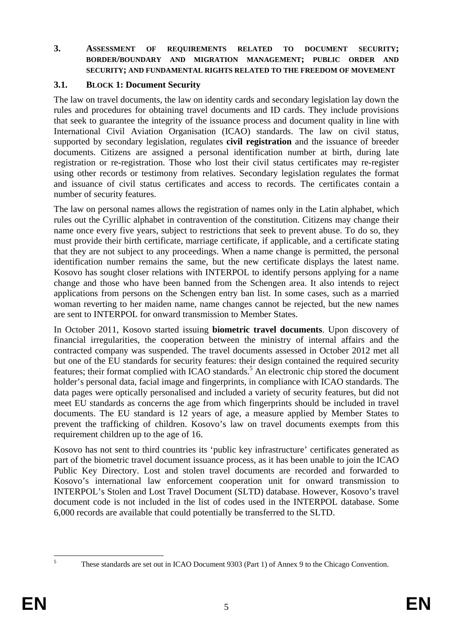#### **3. ASSESSMENT OF REQUIREMENTS RELATED TO DOCUMENT SECURITY; BORDER/BOUNDARY AND MIGRATION MANAGEMENT; PUBLIC ORDER AND SECURITY; AND FUNDAMENTAL RIGHTS RELATED TO THE FREEDOM OF MOVEMENT**

#### **3.1. BLOCK 1: Document Security**

The law on travel documents, the law on identity cards and secondary legislation lay down the rules and procedures for obtaining travel documents and ID cards. They include provisions that seek to guarantee the integrity of the issuance process and document quality in line with International Civil Aviation Organisation (ICAO) standards. The law on civil status, supported by secondary legislation, regulates **civil registration** and the issuance of breeder documents. Citizens are assigned a personal identification number at birth, during late registration or re-registration. Those who lost their civil status certificates may re-register using other records or testimony from relatives. Secondary legislation regulates the format and issuance of civil status certificates and access to records. The certificates contain a number of security features.

The law on personal names allows the registration of names only in the Latin alphabet, which rules out the Cyrillic alphabet in contravention of the constitution. Citizens may change their name once every five years, subject to restrictions that seek to prevent abuse. To do so, they must provide their birth certificate, marriage certificate, if applicable, and a certificate stating that they are not subject to any proceedings. When a name change is permitted, the personal identification number remains the same, but the new certificate displays the latest name. Kosovo has sought closer relations with INTERPOL to identify persons applying for a name change and those who have been banned from the Schengen area. It also intends to reject applications from persons on the Schengen entry ban list. In some cases, such as a married woman reverting to her maiden name, name changes cannot be rejected, but the new names are sent to INTERPOL for onward transmission to Member States.

In October 2011, Kosovo started issuing **biometric travel documents**. Upon discovery of financial irregularities, the cooperation between the ministry of internal affairs and the contracted company was suspended. The travel documents assessed in October 2012 met all but one of the EU standards for security features: their design contained the required security features; their format complied with ICAO standards.<sup>5</sup> An electronic chip stored the document holder's personal data, facial image and fingerprints, in compliance with ICAO standards. The data pages were optically personalised and included a variety of security features, but did not meet EU standards as concerns the age from which fingerprints should be included in travel documents. The EU standard is 12 years of age, a measure applied by Member States to prevent the trafficking of children. Kosovo's law on travel documents exempts from this requirement children up to the age of 16.

Kosovo has not sent to third countries its 'public key infrastructure' certificates generated as part of the biometric travel document issuance process, as it has been unable to join the ICAO Public Key Directory. Lost and stolen travel documents are recorded and forwarded to Kosovo's international law enforcement cooperation unit for onward transmission to INTERPOL's Stolen and Lost Travel Document (SLTD) database. However, Kosovo's travel document code is not included in the list of codes used in the INTERPOL database. Some 6,000 records are available that could potentially be transferred to the SLTD.

 $\frac{1}{5}$ 

These standards are set out in ICAO Document 9303 (Part 1) of Annex 9 to the Chicago Convention.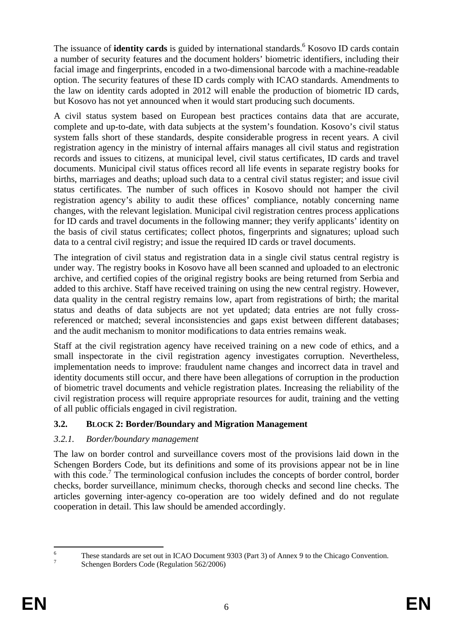The issuance of **identity cards** is guided by international standards.<sup>6</sup> Kosovo ID cards contain a number of security features and the document holders' biometric identifiers, including their facial image and fingerprints, encoded in a two-dimensional barcode with a machine-readable option. The security features of these ID cards comply with ICAO standards. Amendments to the law on identity cards adopted in 2012 will enable the production of biometric ID cards, but Kosovo has not yet announced when it would start producing such documents.

A civil status system based on European best practices contains data that are accurate, complete and up-to-date, with data subjects at the system's foundation. Kosovo's civil status system falls short of these standards, despite considerable progress in recent years. A civil registration agency in the ministry of internal affairs manages all civil status and registration records and issues to citizens, at municipal level, civil status certificates, ID cards and travel documents. Municipal civil status offices record all life events in separate registry books for births, marriages and deaths; upload such data to a central civil status register; and issue civil status certificates. The number of such offices in Kosovo should not hamper the civil registration agency's ability to audit these offices' compliance, notably concerning name changes, with the relevant legislation. Municipal civil registration centres process applications for ID cards and travel documents in the following manner; they verify applicants' identity on the basis of civil status certificates; collect photos, fingerprints and signatures; upload such data to a central civil registry; and issue the required ID cards or travel documents.

The integration of civil status and registration data in a single civil status central registry is under way. The registry books in Kosovo have all been scanned and uploaded to an electronic archive, and certified copies of the original registry books are being returned from Serbia and added to this archive. Staff have received training on using the new central registry. However, data quality in the central registry remains low, apart from registrations of birth; the marital status and deaths of data subjects are not yet updated; data entries are not fully crossreferenced or matched; several inconsistencies and gaps exist between different databases; and the audit mechanism to monitor modifications to data entries remains weak.

Staff at the civil registration agency have received training on a new code of ethics, and a small inspectorate in the civil registration agency investigates corruption. Nevertheless, implementation needs to improve: fraudulent name changes and incorrect data in travel and identity documents still occur, and there have been allegations of corruption in the production of biometric travel documents and vehicle registration plates. Increasing the reliability of the civil registration process will require appropriate resources for audit, training and the vetting of all public officials engaged in civil registration.

# **3.2. BLOCK 2: Border/Boundary and Migration Management**

## *3.2.1. Border/boundary management*

The law on border control and surveillance covers most of the provisions laid down in the Schengen Borders Code, but its definitions and some of its provisions appear not be in line with this code.<sup>7</sup> The terminological confusion includes the concepts of border control, border checks, border surveillance, minimum checks, thorough checks and second line checks. The articles governing inter-agency co-operation are too widely defined and do not regulate cooperation in detail. This law should be amended accordingly.

 $\frac{1}{6}$ These standards are set out in ICAO Document 9303 (Part 3) of Annex 9 to the Chicago Convention.

Schengen Borders Code (Regulation 562/2006)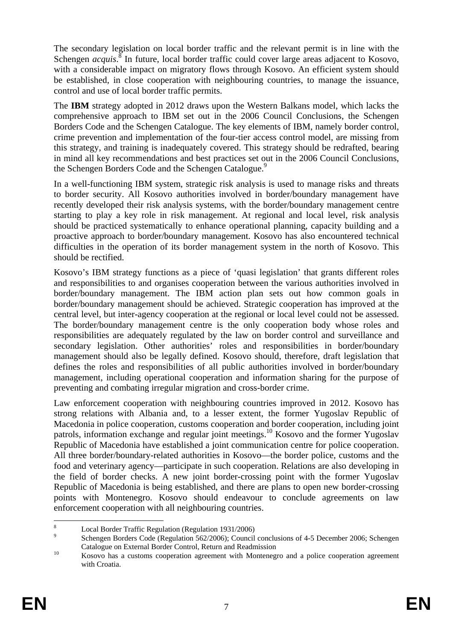The secondary legislation on local border traffic and the relevant permit is in line with the Schengen *acquis*.<sup>8</sup> In future, local border traffic could cover large areas adjacent to Kosovo, with a considerable impact on migratory flows through Kosovo. An efficient system should be established, in close cooperation with neighbouring countries, to manage the issuance, control and use of local border traffic permits.

The **IBM** strategy adopted in 2012 draws upon the Western Balkans model, which lacks the comprehensive approach to IBM set out in the 2006 Council Conclusions, the Schengen Borders Code and the Schengen Catalogue. The key elements of IBM, namely border control, crime prevention and implementation of the four-tier access control model, are missing from this strategy, and training is inadequately covered. This strategy should be redrafted, bearing in mind all key recommendations and best practices set out in the 2006 Council Conclusions, the Schengen Borders Code and the Schengen Catalogue.<sup>9</sup>

In a well-functioning IBM system, strategic risk analysis is used to manage risks and threats to border security. All Kosovo authorities involved in border/boundary management have recently developed their risk analysis systems, with the border/boundary management centre starting to play a key role in risk management. At regional and local level, risk analysis should be practiced systematically to enhance operational planning, capacity building and a proactive approach to border/boundary management. Kosovo has also encountered technical difficulties in the operation of its border management system in the north of Kosovo. This should be rectified.

Kosovo's IBM strategy functions as a piece of 'quasi legislation' that grants different roles and responsibilities to and organises cooperation between the various authorities involved in border/boundary management. The IBM action plan sets out how common goals in border/boundary management should be achieved. Strategic cooperation has improved at the central level, but inter-agency cooperation at the regional or local level could not be assessed. The border/boundary management centre is the only cooperation body whose roles and responsibilities are adequately regulated by the law on border control and surveillance and secondary legislation. Other authorities' roles and responsibilities in border/boundary management should also be legally defined. Kosovo should, therefore, draft legislation that defines the roles and responsibilities of all public authorities involved in border/boundary management, including operational cooperation and information sharing for the purpose of preventing and combating irregular migration and cross-border crime.

Law enforcement cooperation with neighbouring countries improved in 2012. Kosovo has strong relations with Albania and, to a lesser extent, the former Yugoslav Republic of Macedonia in police cooperation, customs cooperation and border cooperation, including joint patrols, information exchange and regular joint meetings.<sup>10</sup> Kosovo and the former Yugoslav Republic of Macedonia have established a joint communication centre for police cooperation. All three border/boundary-related authorities in Kosovo—the border police, customs and the food and veterinary agency—participate in such cooperation. Relations are also developing in the field of border checks. A new joint border-crossing point with the former Yugoslav Republic of Macedonia is being established, and there are plans to open new border-crossing points with Montenegro. Kosovo should endeavour to conclude agreements on law enforcement cooperation with all neighbouring countries.

 $\frac{1}{8}$ <sup>8</sup> Local Border Traffic Regulation (Regulation 1931/2006)

Schengen Borders Code (Regulation 562/2006); Council conclusions of 4-5 December 2006; Schengen Catalogue on External Border Control, Return and Readmission<br>
<sup>10</sup> Kosovo has a customs cooperation agreement with Montenegro and a police cooperation agreement

with Croatia.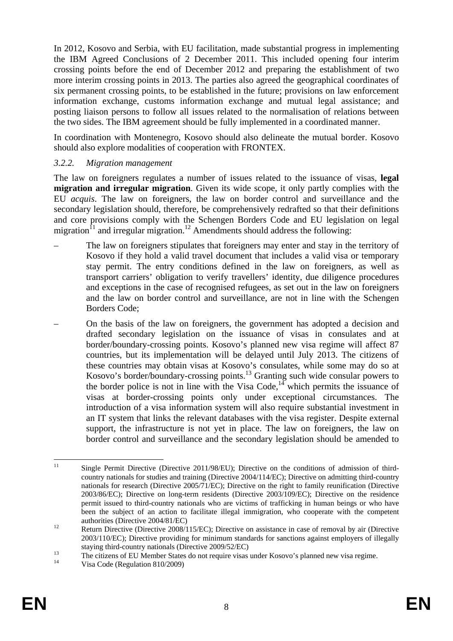In 2012, Kosovo and Serbia, with EU facilitation, made substantial progress in implementing the IBM Agreed Conclusions of 2 December 2011. This included opening four interim crossing points before the end of December 2012 and preparing the establishment of two more interim crossing points in 2013. The parties also agreed the geographical coordinates of six permanent crossing points, to be established in the future; provisions on law enforcement information exchange, customs information exchange and mutual legal assistance; and posting liaison persons to follow all issues related to the normalisation of relations between the two sides. The IBM agreement should be fully implemented in a coordinated manner.

In coordination with Montenegro, Kosovo should also delineate the mutual border. Kosovo should also explore modalities of cooperation with FRONTEX.

#### *3.2.2. Migration management*

The law on foreigners regulates a number of issues related to the issuance of visas, **legal migration and irregular migration**. Given its wide scope, it only partly complies with the EU *acquis*. The law on foreigners, the law on border control and surveillance and the secondary legislation should, therefore, be comprehensively redrafted so that their definitions and core provisions comply with the Schengen Borders Code and EU legislation on legal migration<sup>11</sup> and irregular migration.<sup>12</sup> Amendments should address the following:

- The law on foreigners stipulates that foreigners may enter and stay in the territory of Kosovo if they hold a valid travel document that includes a valid visa or temporary stay permit. The entry conditions defined in the law on foreigners, as well as transport carriers' obligation to verify travellers' identity, due diligence procedures and exceptions in the case of recognised refugees, as set out in the law on foreigners and the law on border control and surveillance, are not in line with the Schengen Borders Code;
- On the basis of the law on foreigners, the government has adopted a decision and drafted secondary legislation on the issuance of visas in consulates and at border/boundary-crossing points. Kosovo's planned new visa regime will affect 87 countries, but its implementation will be delayed until July 2013. The citizens of these countries may obtain visas at Kosovo's consulates, while some may do so at Kosovo's border/boundary-crossing points.13 Granting such wide consular powers to the border police is not in line with the Visa Code, $14$  which permits the issuance of visas at border-crossing points only under exceptional circumstances. The introduction of a visa information system will also require substantial investment in an IT system that links the relevant databases with the visa register. Despite external support, the infrastructure is not yet in place. The law on foreigners, the law on border control and surveillance and the secondary legislation should be amended to

Visa Code (Regulation 810/2009)

 $11\,$ Single Permit Directive (Directive 2011/98/EU); Directive on the conditions of admission of thirdcountry nationals for studies and training (Directive 2004/114/EC); Directive on admitting third-country nationals for research (Directive 2005/71/EC); Directive on the right to family reunification (Directive 2003/86/EC); Directive on long-term residents (Directive 2003/109/EC); Directive on the residence permit issued to third-country nationals who are victims of trafficking in human beings or who have been the subject of an action to facilitate illegal immigration, who cooperate with the competent

authorities (Directive 2004/81/EC) 12 Return Directive (Directive 2008/115/EC); Directive on assistance in case of removal by air (Directive 2003/110/EC); Directive providing for minimum standards for sanctions against employers of illegally

staying third-country nationals (Directive 2009/52/EC)<br>
The citizens of EU Member States do not require visas under Kosovo's planned new visa regime.<br>
<sup>14</sup>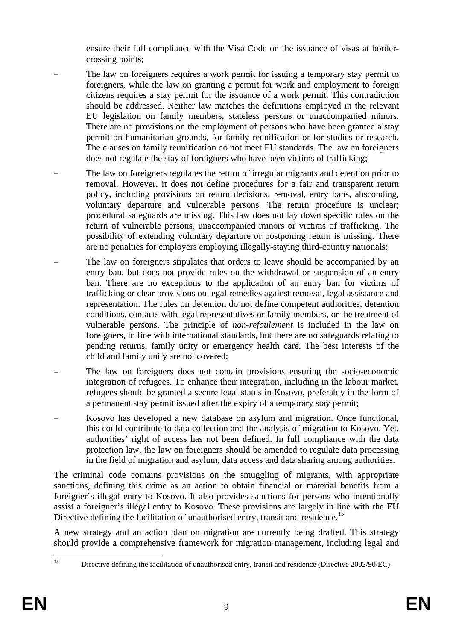ensure their full compliance with the Visa Code on the issuance of visas at bordercrossing points;

- The law on foreigners requires a work permit for issuing a temporary stay permit to foreigners, while the law on granting a permit for work and employment to foreign citizens requires a stay permit for the issuance of a work permit. This contradiction should be addressed. Neither law matches the definitions employed in the relevant EU legislation on family members, stateless persons or unaccompanied minors. There are no provisions on the employment of persons who have been granted a stay permit on humanitarian grounds, for family reunification or for studies or research. The clauses on family reunification do not meet EU standards. The law on foreigners does not regulate the stay of foreigners who have been victims of trafficking;
- The law on foreigners regulates the return of irregular migrants and detention prior to removal. However, it does not define procedures for a fair and transparent return policy, including provisions on return decisions, removal, entry bans, absconding, voluntary departure and vulnerable persons. The return procedure is unclear; procedural safeguards are missing. This law does not lay down specific rules on the return of vulnerable persons, unaccompanied minors or victims of trafficking. The possibility of extending voluntary departure or postponing return is missing. There are no penalties for employers employing illegally-staying third-country nationals;
- The law on foreigners stipulates that orders to leave should be accompanied by an entry ban, but does not provide rules on the withdrawal or suspension of an entry ban. There are no exceptions to the application of an entry ban for victims of trafficking or clear provisions on legal remedies against removal, legal assistance and representation. The rules on detention do not define competent authorities, detention conditions, contacts with legal representatives or family members, or the treatment of vulnerable persons. The principle of *non-refoulement* is included in the law on foreigners, in line with international standards, but there are no safeguards relating to pending returns, family unity or emergency health care. The best interests of the child and family unity are not covered;
- The law on foreigners does not contain provisions ensuring the socio-economic integration of refugees. To enhance their integration, including in the labour market, refugees should be granted a secure legal status in Kosovo, preferably in the form of a permanent stay permit issued after the expiry of a temporary stay permit;
- Kosovo has developed a new database on asylum and migration. Once functional, this could contribute to data collection and the analysis of migration to Kosovo. Yet, authorities' right of access has not been defined. In full compliance with the data protection law, the law on foreigners should be amended to regulate data processing in the field of migration and asylum, data access and data sharing among authorities.

The criminal code contains provisions on the smuggling of migrants, with appropriate sanctions, defining this crime as an action to obtain financial or material benefits from a foreigner's illegal entry to Kosovo. It also provides sanctions for persons who intentionally assist a foreigner's illegal entry to Kosovo. These provisions are largely in line with the EU Directive defining the facilitation of unauthorised entry, transit and residence.<sup>15</sup>

A new strategy and an action plan on migration are currently being drafted. This strategy should provide a comprehensive framework for migration management, including legal and

 $15$ 15 Directive defining the facilitation of unauthorised entry, transit and residence (Directive 2002/90/EC)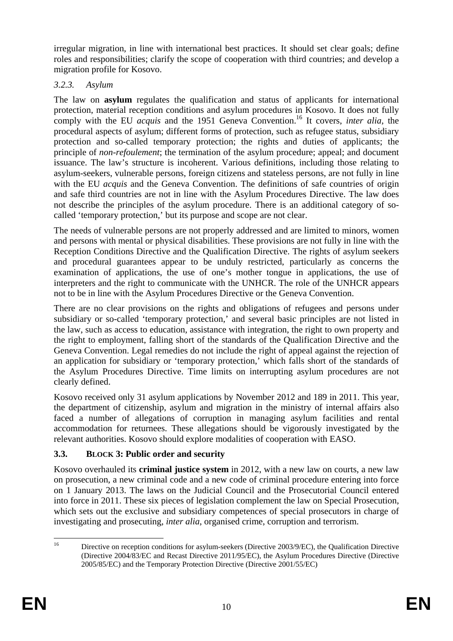irregular migration, in line with international best practices. It should set clear goals; define roles and responsibilities; clarify the scope of cooperation with third countries; and develop a migration profile for Kosovo.

## *3.2.3. Asylum*

The law on **asylum** regulates the qualification and status of applicants for international protection, material reception conditions and asylum procedures in Kosovo. It does not fully comply with the EU *acquis* and the 1951 Geneva Convention.<sup>16</sup> It covers, *inter alia*, the procedural aspects of asylum; different forms of protection, such as refugee status, subsidiary protection and so-called temporary protection; the rights and duties of applicants; the principle of *non-refoulement*; the termination of the asylum procedure; appeal; and document issuance. The law's structure is incoherent. Various definitions, including those relating to asylum-seekers, vulnerable persons, foreign citizens and stateless persons, are not fully in line with the EU *acquis* and the Geneva Convention. The definitions of safe countries of origin and safe third countries are not in line with the Asylum Procedures Directive. The law does not describe the principles of the asylum procedure. There is an additional category of socalled 'temporary protection,' but its purpose and scope are not clear.

The needs of vulnerable persons are not properly addressed and are limited to minors, women and persons with mental or physical disabilities. These provisions are not fully in line with the Reception Conditions Directive and the Qualification Directive. The rights of asylum seekers and procedural guarantees appear to be unduly restricted, particularly as concerns the examination of applications, the use of one's mother tongue in applications, the use of interpreters and the right to communicate with the UNHCR. The role of the UNHCR appears not to be in line with the Asylum Procedures Directive or the Geneva Convention.

There are no clear provisions on the rights and obligations of refugees and persons under subsidiary or so-called 'temporary protection,' and several basic principles are not listed in the law, such as access to education, assistance with integration, the right to own property and the right to employment, falling short of the standards of the Qualification Directive and the Geneva Convention. Legal remedies do not include the right of appeal against the rejection of an application for subsidiary or 'temporary protection,' which falls short of the standards of the Asylum Procedures Directive. Time limits on interrupting asylum procedures are not clearly defined.

Kosovo received only 31 asylum applications by November 2012 and 189 in 2011. This year, the department of citizenship, asylum and migration in the ministry of internal affairs also faced a number of allegations of corruption in managing asylum facilities and rental accommodation for returnees. These allegations should be vigorously investigated by the relevant authorities. Kosovo should explore modalities of cooperation with EASO.

# **3.3. BLOCK 3: Public order and security**

Kosovo overhauled its **criminal justice system** in 2012, with a new law on courts, a new law on prosecution, a new criminal code and a new code of criminal procedure entering into force on 1 January 2013. The laws on the Judicial Council and the Prosecutorial Council entered into force in 2011. These six pieces of legislation complement the law on Special Prosecution, which sets out the exclusive and subsidiary competences of special prosecutors in charge of investigating and prosecuting, *inter alia*, organised crime, corruption and terrorism.

 $16$ 16 Directive on reception conditions for asylum-seekers (Directive 2003/9/EC), the Qualification Directive (Directive 2004/83/EC and Recast Directive 2011/95/EC), the Asylum Procedures Directive (Directive 2005/85/EC) and the Temporary Protection Directive (Directive 2001/55/EC)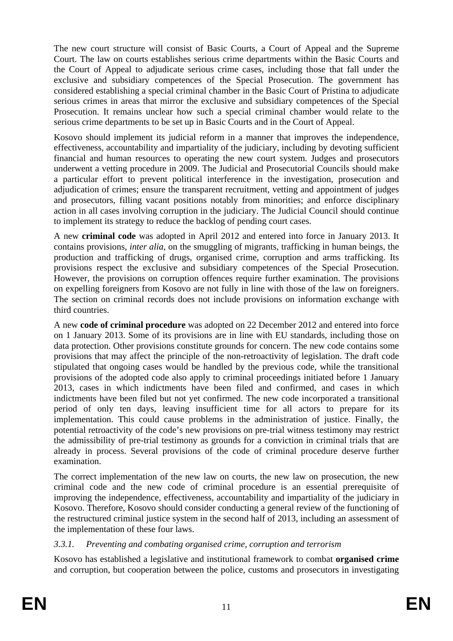The new court structure will consist of Basic Courts, a Court of Appeal and the Supreme Court. The law on courts establishes serious crime departments within the Basic Courts and the Court of Appeal to adjudicate serious crime cases, including those that fall under the exclusive and subsidiary competences of the Special Prosecution. The government has considered establishing a special criminal chamber in the Basic Court of Pristina to adjudicate serious crimes in areas that mirror the exclusive and subsidiary competences of the Special Prosecution. It remains unclear how such a special criminal chamber would relate to the serious crime departments to be set up in Basic Courts and in the Court of Appeal.

Kosovo should implement its judicial reform in a manner that improves the independence, effectiveness, accountability and impartiality of the judiciary, including by devoting sufficient financial and human resources to operating the new court system. Judges and prosecutors underwent a vetting procedure in 2009. The Judicial and Prosecutorial Councils should make a particular effort to prevent political interference in the investigation, prosecution and adjudication of crimes; ensure the transparent recruitment, vetting and appointment of judges and prosecutors, filling vacant positions notably from minorities; and enforce disciplinary action in all cases involving corruption in the judiciary. The Judicial Council should continue to implement its strategy to reduce the backlog of pending court cases.

A new **criminal code** was adopted in April 2012 and entered into force in January 2013. It contains provisions, *inter alia*, on the smuggling of migrants, trafficking in human beings, the production and trafficking of drugs, organised crime, corruption and arms trafficking. Its provisions respect the exclusive and subsidiary competences of the Special Prosecution. However, the provisions on corruption offences require further examination. The provisions on expelling foreigners from Kosovo are not fully in line with those of the law on foreigners. The section on criminal records does not include provisions on information exchange with third countries.

A new **code of criminal procedure** was adopted on 22 December 2012 and entered into force on 1 January 2013. Some of its provisions are in line with EU standards, including those on data protection. Other provisions constitute grounds for concern. The new code contains some provisions that may affect the principle of the non-retroactivity of legislation. The draft code stipulated that ongoing cases would be handled by the previous code, while the transitional provisions of the adopted code also apply to criminal proceedings initiated before 1 January 2013, cases in which indictments have been filed and confirmed, and cases in which indictments have been filed but not yet confirmed. The new code incorporated a transitional period of only ten days, leaving insufficient time for all actors to prepare for its implementation. This could cause problems in the administration of justice. Finally, the potential retroactivity of the code's new provisions on pre-trial witness testimony may restrict the admissibility of pre-trial testimony as grounds for a conviction in criminal trials that are already in process. Several provisions of the code of criminal procedure deserve further examination.

The correct implementation of the new law on courts, the new law on prosecution, the new criminal code and the new code of criminal procedure is an essential prerequisite of improving the independence, effectiveness, accountability and impartiality of the judiciary in Kosovo. Therefore, Kosovo should consider conducting a general review of the functioning of the restructured criminal justice system in the second half of 2013, including an assessment of the implementation of these four laws.

## *3.3.1. Preventing and combating organised crime, corruption and terrorism*

Kosovo has established a legislative and institutional framework to combat **organised crime** and corruption, but cooperation between the police, customs and prosecutors in investigating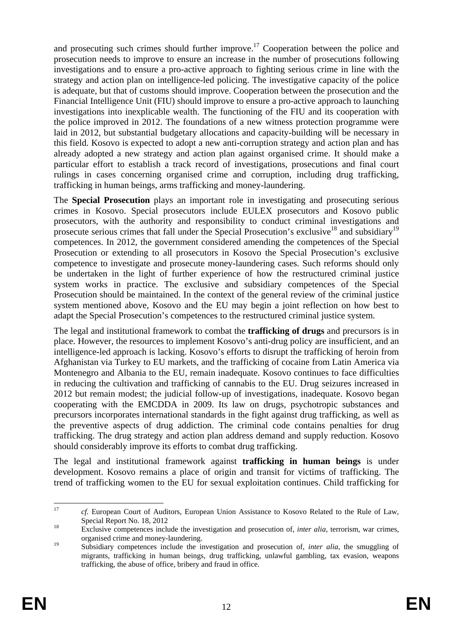and prosecuting such crimes should further improve.<sup>17</sup> Cooperation between the police and prosecution needs to improve to ensure an increase in the number of prosecutions following investigations and to ensure a pro-active approach to fighting serious crime in line with the strategy and action plan on intelligence-led policing. The investigative capacity of the police is adequate, but that of customs should improve. Cooperation between the prosecution and the Financial Intelligence Unit (FIU) should improve to ensure a pro-active approach to launching investigations into inexplicable wealth. The functioning of the FIU and its cooperation with the police improved in 2012. The foundations of a new witness protection programme were laid in 2012, but substantial budgetary allocations and capacity-building will be necessary in this field. Kosovo is expected to adopt a new anti-corruption strategy and action plan and has already adopted a new strategy and action plan against organised crime. It should make a particular effort to establish a track record of investigations, prosecutions and final court rulings in cases concerning organised crime and corruption, including drug trafficking, trafficking in human beings, arms trafficking and money-laundering.

The **Special Prosecution** plays an important role in investigating and prosecuting serious crimes in Kosovo. Special prosecutors include EULEX prosecutors and Kosovo public prosecutors, with the authority and responsibility to conduct criminal investigations and prosecute serious crimes that fall under the Special Prosecution's exclusive<sup>18</sup> and subsidiary<sup>19</sup> competences. In 2012, the government considered amending the competences of the Special Prosecution or extending to all prosecutors in Kosovo the Special Prosecution's exclusive competence to investigate and prosecute money-laundering cases. Such reforms should only be undertaken in the light of further experience of how the restructured criminal justice system works in practice. The exclusive and subsidiary competences of the Special Prosecution should be maintained. In the context of the general review of the criminal justice system mentioned above, Kosovo and the EU may begin a joint reflection on how best to adapt the Special Prosecution's competences to the restructured criminal justice system.

The legal and institutional framework to combat the **trafficking of drugs** and precursors is in place. However, the resources to implement Kosovo's anti-drug policy are insufficient, and an intelligence-led approach is lacking. Kosovo's efforts to disrupt the trafficking of heroin from Afghanistan via Turkey to EU markets, and the trafficking of cocaine from Latin America via Montenegro and Albania to the EU, remain inadequate. Kosovo continues to face difficulties in reducing the cultivation and trafficking of cannabis to the EU. Drug seizures increased in 2012 but remain modest; the judicial follow-up of investigations, inadequate. Kosovo began cooperating with the EMCDDA in 2009. Its law on drugs, psychotropic substances and precursors incorporates international standards in the fight against drug trafficking, as well as the preventive aspects of drug addiction. The criminal code contains penalties for drug trafficking. The drug strategy and action plan address demand and supply reduction. Kosovo should considerably improve its efforts to combat drug trafficking.

The legal and institutional framework against **trafficking in human beings** is under development. Kosovo remains a place of origin and transit for victims of trafficking. The trend of trafficking women to the EU for sexual exploitation continues. Child trafficking for

 $17$ <sup>17</sup> *cf.* European Court of Auditors, European Union Assistance to Kosovo Related to the Rule of Law,

Special Report No. 18, 2012<br><sup>18</sup> Exclusive competences include the investigation and prosecution of, *inter alia*, terrorism, war crimes, organised crime and money-laundering.

<sup>&</sup>lt;sup>19</sup> Subsidiary competences include the investigation and prosecution of, *inter alia*, the smuggling of migrants, trafficking in human beings, drug trafficking, unlawful gambling, tax evasion, weapons trafficking, the abuse of office, bribery and fraud in office.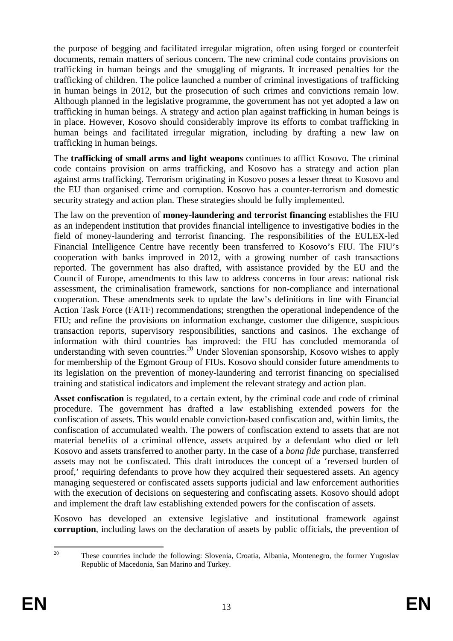the purpose of begging and facilitated irregular migration, often using forged or counterfeit documents, remain matters of serious concern. The new criminal code contains provisions on trafficking in human beings and the smuggling of migrants. It increased penalties for the trafficking of children. The police launched a number of criminal investigations of trafficking in human beings in 2012, but the prosecution of such crimes and convictions remain low. Although planned in the legislative programme, the government has not yet adopted a law on trafficking in human beings. A strategy and action plan against trafficking in human beings is in place. However, Kosovo should considerably improve its efforts to combat trafficking in human beings and facilitated irregular migration, including by drafting a new law on trafficking in human beings.

The **trafficking of small arms and light weapons** continues to afflict Kosovo. The criminal code contains provision on arms trafficking, and Kosovo has a strategy and action plan against arms trafficking. Terrorism originating in Kosovo poses a lesser threat to Kosovo and the EU than organised crime and corruption. Kosovo has a counter-terrorism and domestic security strategy and action plan. These strategies should be fully implemented.

The law on the prevention of **money-laundering and terrorist financing** establishes the FIU as an independent institution that provides financial intelligence to investigative bodies in the field of money-laundering and terrorist financing. The responsibilities of the EULEX-led Financial Intelligence Centre have recently been transferred to Kosovo's FIU. The FIU's cooperation with banks improved in 2012, with a growing number of cash transactions reported. The government has also drafted, with assistance provided by the EU and the Council of Europe, amendments to this law to address concerns in four areas: national risk assessment, the criminalisation framework, sanctions for non-compliance and international cooperation. These amendments seek to update the law's definitions in line with Financial Action Task Force (FATF) recommendations; strengthen the operational independence of the FIU; and refine the provisions on information exchange, customer due diligence, suspicious transaction reports, supervisory responsibilities, sanctions and casinos. The exchange of information with third countries has improved: the FIU has concluded memoranda of understanding with seven countries.<sup>20</sup> Under Slovenian sponsorship, Kosovo wishes to apply for membership of the Egmont Group of FIUs. Kosovo should consider future amendments to its legislation on the prevention of money-laundering and terrorist financing on specialised training and statistical indicators and implement the relevant strategy and action plan.

**Asset confiscation** is regulated, to a certain extent, by the criminal code and code of criminal procedure. The government has drafted a law establishing extended powers for the confiscation of assets. This would enable conviction-based confiscation and, within limits, the confiscation of accumulated wealth. The powers of confiscation extend to assets that are not material benefits of a criminal offence, assets acquired by a defendant who died or left Kosovo and assets transferred to another party. In the case of a *bona fide* purchase, transferred assets may not be confiscated. This draft introduces the concept of a 'reversed burden of proof,' requiring defendants to prove how they acquired their sequestered assets. An agency managing sequestered or confiscated assets supports judicial and law enforcement authorities with the execution of decisions on sequestering and confiscating assets. Kosovo should adopt and implement the draft law establishing extended powers for the confiscation of assets.

Kosovo has developed an extensive legislative and institutional framework against **corruption**, including laws on the declaration of assets by public officials, the prevention of

 $20\degree$ These countries include the following: Slovenia, Croatia, Albania, Montenegro, the former Yugoslav Republic of Macedonia, San Marino and Turkey.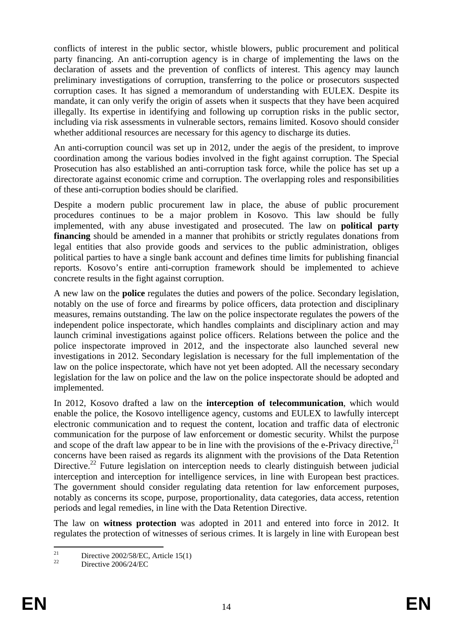conflicts of interest in the public sector, whistle blowers, public procurement and political party financing. An anti-corruption agency is in charge of implementing the laws on the declaration of assets and the prevention of conflicts of interest. This agency may launch preliminary investigations of corruption, transferring to the police or prosecutors suspected corruption cases. It has signed a memorandum of understanding with EULEX. Despite its mandate, it can only verify the origin of assets when it suspects that they have been acquired illegally. Its expertise in identifying and following up corruption risks in the public sector, including via risk assessments in vulnerable sectors, remains limited. Kosovo should consider whether additional resources are necessary for this agency to discharge its duties.

An anti-corruption council was set up in 2012, under the aegis of the president, to improve coordination among the various bodies involved in the fight against corruption. The Special Prosecution has also established an anti-corruption task force, while the police has set up a directorate against economic crime and corruption. The overlapping roles and responsibilities of these anti-corruption bodies should be clarified.

Despite a modern public procurement law in place, the abuse of public procurement procedures continues to be a major problem in Kosovo. This law should be fully implemented, with any abuse investigated and prosecuted. The law on **political party financing** should be amended in a manner that prohibits or strictly regulates donations from legal entities that also provide goods and services to the public administration, obliges political parties to have a single bank account and defines time limits for publishing financial reports. Kosovo's entire anti-corruption framework should be implemented to achieve concrete results in the fight against corruption.

A new law on the **police** regulates the duties and powers of the police. Secondary legislation, notably on the use of force and firearms by police officers, data protection and disciplinary measures, remains outstanding. The law on the police inspectorate regulates the powers of the independent police inspectorate, which handles complaints and disciplinary action and may launch criminal investigations against police officers. Relations between the police and the police inspectorate improved in 2012, and the inspectorate also launched several new investigations in 2012. Secondary legislation is necessary for the full implementation of the law on the police inspectorate, which have not yet been adopted. All the necessary secondary legislation for the law on police and the law on the police inspectorate should be adopted and implemented.

In 2012, Kosovo drafted a law on the **interception of telecommunication**, which would enable the police, the Kosovo intelligence agency, customs and EULEX to lawfully intercept electronic communication and to request the content, location and traffic data of electronic communication for the purpose of law enforcement or domestic security. Whilst the purpose and scope of the draft law appear to be in line with the provisions of the e-Privacy directive,  $2<sup>1</sup>$ concerns have been raised as regards its alignment with the provisions of the Data Retention Directive.<sup>22</sup> Future legislation on interception needs to clearly distinguish between judicial interception and interception for intelligence services, in line with European best practices. The government should consider regulating data retention for law enforcement purposes, notably as concerns its scope, purpose, proportionality, data categories, data access, retention periods and legal remedies, in line with the Data Retention Directive.

The law on **witness protection** was adopted in 2011 and entered into force in 2012. It regulates the protection of witnesses of serious crimes. It is largely in line with European best

 $\overline{21}$ <sup>21</sup> Directive 2002/58/EC, Article 15(1)

Directive 2006/24/EC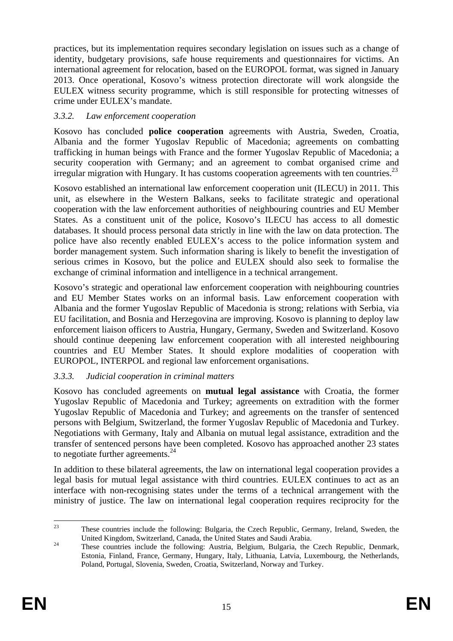practices, but its implementation requires secondary legislation on issues such as a change of identity, budgetary provisions, safe house requirements and questionnaires for victims. An international agreement for relocation, based on the EUROPOL format, was signed in January 2013. Once operational, Kosovo's witness protection directorate will work alongside the EULEX witness security programme, which is still responsible for protecting witnesses of crime under EULEX's mandate.

## *3.3.2. Law enforcement cooperation*

Kosovo has concluded **police cooperation** agreements with Austria, Sweden, Croatia, Albania and the former Yugoslav Republic of Macedonia; agreements on combatting trafficking in human beings with France and the former Yugoslav Republic of Macedonia; a security cooperation with Germany; and an agreement to combat organised crime and irregular migration with Hungary. It has customs cooperation agreements with ten countries.<sup>23</sup>

Kosovo established an international law enforcement cooperation unit (ILECU) in 2011. This unit, as elsewhere in the Western Balkans, seeks to facilitate strategic and operational cooperation with the law enforcement authorities of neighbouring countries and EU Member States. As a constituent unit of the police, Kosovo's ILECU has access to all domestic databases. It should process personal data strictly in line with the law on data protection. The police have also recently enabled EULEX's access to the police information system and border management system. Such information sharing is likely to benefit the investigation of serious crimes in Kosovo, but the police and EULEX should also seek to formalise the exchange of criminal information and intelligence in a technical arrangement.

Kosovo's strategic and operational law enforcement cooperation with neighbouring countries and EU Member States works on an informal basis. Law enforcement cooperation with Albania and the former Yugoslav Republic of Macedonia is strong; relations with Serbia, via EU facilitation, and Bosnia and Herzegovina are improving. Kosovo is planning to deploy law enforcement liaison officers to Austria, Hungary, Germany, Sweden and Switzerland. Kosovo should continue deepening law enforcement cooperation with all interested neighbouring countries and EU Member States. It should explore modalities of cooperation with EUROPOL, INTERPOL and regional law enforcement organisations.

## *3.3.3. Judicial cooperation in criminal matters*

Kosovo has concluded agreements on **mutual legal assistance** with Croatia, the former Yugoslav Republic of Macedonia and Turkey; agreements on extradition with the former Yugoslav Republic of Macedonia and Turkey; and agreements on the transfer of sentenced persons with Belgium, Switzerland, the former Yugoslav Republic of Macedonia and Turkey. Negotiations with Germany, Italy and Albania on mutual legal assistance, extradition and the transfer of sentenced persons have been completed. Kosovo has approached another 23 states to negotiate further agreements. $^{24}$ 

In addition to these bilateral agreements, the law on international legal cooperation provides a legal basis for mutual legal assistance with third countries. EULEX continues to act as an interface with non-recognising states under the terms of a technical arrangement with the ministry of justice. The law on international legal cooperation requires reciprocity for the

 $23$ These countries include the following: Bulgaria, the Czech Republic, Germany, Ireland, Sweden, the United Kingdom, Switzerland, Canada, the United States and Saudi Arabia. 24 These countries include the following: Austria, Belgium, Bulgaria, the Czech Republic, Denmark,

Estonia, Finland, France, Germany, Hungary, Italy, Lithuania, Latvia, Luxembourg, the Netherlands, Poland, Portugal, Slovenia, Sweden, Croatia, Switzerland, Norway and Turkey.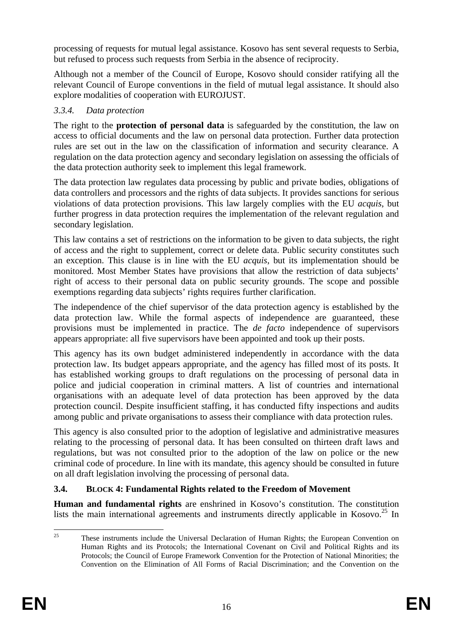processing of requests for mutual legal assistance. Kosovo has sent several requests to Serbia, but refused to process such requests from Serbia in the absence of reciprocity.

Although not a member of the Council of Europe, Kosovo should consider ratifying all the relevant Council of Europe conventions in the field of mutual legal assistance. It should also explore modalities of cooperation with EUROJUST.

## *3.3.4. Data protection*

The right to the **protection of personal data** is safeguarded by the constitution, the law on access to official documents and the law on personal data protection. Further data protection rules are set out in the law on the classification of information and security clearance. A regulation on the data protection agency and secondary legislation on assessing the officials of the data protection authority seek to implement this legal framework.

The data protection law regulates data processing by public and private bodies, obligations of data controllers and processors and the rights of data subjects. It provides sanctions for serious violations of data protection provisions. This law largely complies with the EU *acquis*, but further progress in data protection requires the implementation of the relevant regulation and secondary legislation.

This law contains a set of restrictions on the information to be given to data subjects, the right of access and the right to supplement, correct or delete data. Public security constitutes such an exception. This clause is in line with the EU *acquis*, but its implementation should be monitored. Most Member States have provisions that allow the restriction of data subjects' right of access to their personal data on public security grounds. The scope and possible exemptions regarding data subjects' rights requires further clarification.

The independence of the chief supervisor of the data protection agency is established by the data protection law. While the formal aspects of independence are guaranteed, these provisions must be implemented in practice. The *de facto* independence of supervisors appears appropriate: all five supervisors have been appointed and took up their posts.

This agency has its own budget administered independently in accordance with the data protection law. Its budget appears appropriate, and the agency has filled most of its posts. It has established working groups to draft regulations on the processing of personal data in police and judicial cooperation in criminal matters. A list of countries and international organisations with an adequate level of data protection has been approved by the data protection council. Despite insufficient staffing, it has conducted fifty inspections and audits among public and private organisations to assess their compliance with data protection rules.

This agency is also consulted prior to the adoption of legislative and administrative measures relating to the processing of personal data. It has been consulted on thirteen draft laws and regulations, but was not consulted prior to the adoption of the law on police or the new criminal code of procedure. In line with its mandate, this agency should be consulted in future on all draft legislation involving the processing of personal data.

## **3.4. BLOCK 4: Fundamental Rights related to the Freedom of Movement**

**Human and fundamental rights** are enshrined in Kosovo's constitution. The constitution lists the main international agreements and instruments directly applicable in Kosovo.<sup>25</sup> In

 $25$ 25 These instruments include the Universal Declaration of Human Rights; the European Convention on Human Rights and its Protocols; the International Covenant on Civil and Political Rights and its Protocols; the Council of Europe Framework Convention for the Protection of National Minorities; the Convention on the Elimination of All Forms of Racial Discrimination; and the Convention on the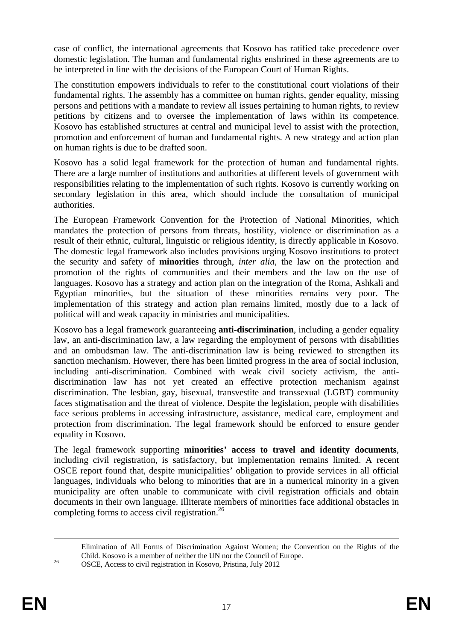case of conflict, the international agreements that Kosovo has ratified take precedence over domestic legislation. The human and fundamental rights enshrined in these agreements are to be interpreted in line with the decisions of the European Court of Human Rights.

The constitution empowers individuals to refer to the constitutional court violations of their fundamental rights. The assembly has a committee on human rights, gender equality, missing persons and petitions with a mandate to review all issues pertaining to human rights, to review petitions by citizens and to oversee the implementation of laws within its competence. Kosovo has established structures at central and municipal level to assist with the protection, promotion and enforcement of human and fundamental rights. A new strategy and action plan on human rights is due to be drafted soon.

Kosovo has a solid legal framework for the protection of human and fundamental rights. There are a large number of institutions and authorities at different levels of government with responsibilities relating to the implementation of such rights. Kosovo is currently working on secondary legislation in this area, which should include the consultation of municipal authorities.

The European Framework Convention for the Protection of National Minorities, which mandates the protection of persons from threats, hostility, violence or discrimination as a result of their ethnic, cultural, linguistic or religious identity, is directly applicable in Kosovo. The domestic legal framework also includes provisions urging Kosovo institutions to protect the security and safety of **minorities** through, *inter alia*, the law on the protection and promotion of the rights of communities and their members and the law on the use of languages. Kosovo has a strategy and action plan on the integration of the Roma, Ashkali and Egyptian minorities, but the situation of these minorities remains very poor. The implementation of this strategy and action plan remains limited, mostly due to a lack of political will and weak capacity in ministries and municipalities.

Kosovo has a legal framework guaranteeing **anti-discrimination**, including a gender equality law, an anti-discrimination law, a law regarding the employment of persons with disabilities and an ombudsman law. The anti-discrimination law is being reviewed to strengthen its sanction mechanism. However, there has been limited progress in the area of social inclusion, including anti-discrimination. Combined with weak civil society activism, the antidiscrimination law has not yet created an effective protection mechanism against discrimination. The lesbian, gay, bisexual, transvestite and transsexual (LGBT) community faces stigmatisation and the threat of violence. Despite the legislation, people with disabilities face serious problems in accessing infrastructure, assistance, medical care, employment and protection from discrimination. The legal framework should be enforced to ensure gender equality in Kosovo.

The legal framework supporting **minorities' access to travel and identity documents**, including civil registration, is satisfactory, but implementation remains limited. A recent OSCE report found that, despite municipalities' obligation to provide services in all official languages, individuals who belong to minorities that are in a numerical minority in a given municipality are often unable to communicate with civil registration officials and obtain documents in their own language. Illiterate members of minorities face additional obstacles in completing forms to access civil registration.<sup>26</sup>

Elimination of All Forms of Discrimination Against Women; the Convention on the Rights of the Child. Kosovo is a member of neither the UN nor the Council of Europe. 26 OSCE, Access to civil registration in Kosovo, Pristina, July 2012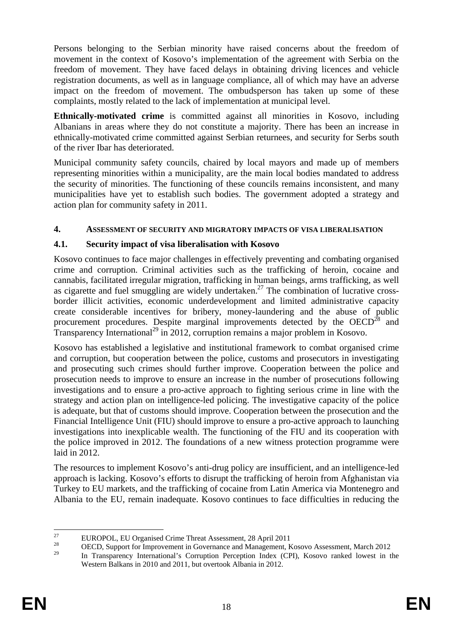Persons belonging to the Serbian minority have raised concerns about the freedom of movement in the context of Kosovo's implementation of the agreement with Serbia on the freedom of movement. They have faced delays in obtaining driving licences and vehicle registration documents, as well as in language compliance, all of which may have an adverse impact on the freedom of movement. The ombudsperson has taken up some of these complaints, mostly related to the lack of implementation at municipal level.

**Ethnically-motivated crime** is committed against all minorities in Kosovo, including Albanians in areas where they do not constitute a majority. There has been an increase in ethnically-motivated crime committed against Serbian returnees, and security for Serbs south of the river Ibar has deteriorated.

Municipal community safety councils, chaired by local mayors and made up of members representing minorities within a municipality, are the main local bodies mandated to address the security of minorities. The functioning of these councils remains inconsistent, and many municipalities have yet to establish such bodies. The government adopted a strategy and action plan for community safety in 2011.

### **4. ASSESSMENT OF SECURITY AND MIGRATORY IMPACTS OF VISA LIBERALISATION**

## **4.1. Security impact of visa liberalisation with Kosovo**

Kosovo continues to face major challenges in effectively preventing and combating organised crime and corruption. Criminal activities such as the trafficking of heroin, cocaine and cannabis, facilitated irregular migration, trafficking in human beings, arms trafficking, as well as cigarette and fuel smuggling are widely undertaken.<sup>27</sup> The combination of lucrative crossborder illicit activities, economic underdevelopment and limited administrative capacity create considerable incentives for bribery, money-laundering and the abuse of public procurement procedures. Despite marginal improvements detected by the  $OECD^{28}$  and Transparency International<sup>29</sup> in 2012, corruption remains a major problem in Kosovo.

Kosovo has established a legislative and institutional framework to combat organised crime and corruption, but cooperation between the police, customs and prosecutors in investigating and prosecuting such crimes should further improve. Cooperation between the police and prosecution needs to improve to ensure an increase in the number of prosecutions following investigations and to ensure a pro-active approach to fighting serious crime in line with the strategy and action plan on intelligence-led policing. The investigative capacity of the police is adequate, but that of customs should improve. Cooperation between the prosecution and the Financial Intelligence Unit (FIU) should improve to ensure a pro-active approach to launching investigations into inexplicable wealth. The functioning of the FIU and its cooperation with the police improved in 2012. The foundations of a new witness protection programme were laid in 2012.

The resources to implement Kosovo's anti-drug policy are insufficient, and an intelligence-led approach is lacking. Kosovo's efforts to disrupt the trafficking of heroin from Afghanistan via Turkey to EU markets, and the trafficking of cocaine from Latin America via Montenegro and Albania to the EU, remain inadequate. Kosovo continues to face difficulties in reducing the

 $27$ <sup>27</sup> EUROPOL, EU Organised Crime Threat Assessment, 28 April 2011

<sup>&</sup>lt;sup>28</sup> OECD, Support for Improvement in Governance and Management, Kosovo Assessment, March 2012

<sup>29</sup> In Transparency International's Corruption Perception Index (CPI), Kosovo ranked lowest in the Western Balkans in 2010 and 2011, but overtook Albania in 2012.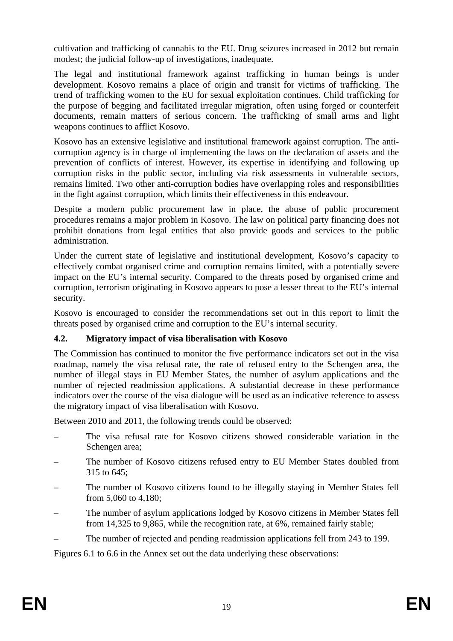cultivation and trafficking of cannabis to the EU. Drug seizures increased in 2012 but remain modest; the judicial follow-up of investigations, inadequate.

The legal and institutional framework against trafficking in human beings is under development. Kosovo remains a place of origin and transit for victims of trafficking. The trend of trafficking women to the EU for sexual exploitation continues. Child trafficking for the purpose of begging and facilitated irregular migration, often using forged or counterfeit documents, remain matters of serious concern. The trafficking of small arms and light weapons continues to afflict Kosovo.

Kosovo has an extensive legislative and institutional framework against corruption. The anticorruption agency is in charge of implementing the laws on the declaration of assets and the prevention of conflicts of interest. However, its expertise in identifying and following up corruption risks in the public sector, including via risk assessments in vulnerable sectors, remains limited. Two other anti-corruption bodies have overlapping roles and responsibilities in the fight against corruption, which limits their effectiveness in this endeavour.

Despite a modern public procurement law in place, the abuse of public procurement procedures remains a major problem in Kosovo. The law on political party financing does not prohibit donations from legal entities that also provide goods and services to the public administration.

Under the current state of legislative and institutional development, Kosovo's capacity to effectively combat organised crime and corruption remains limited, with a potentially severe impact on the EU's internal security. Compared to the threats posed by organised crime and corruption, terrorism originating in Kosovo appears to pose a lesser threat to the EU's internal security.

Kosovo is encouraged to consider the recommendations set out in this report to limit the threats posed by organised crime and corruption to the EU's internal security.

## **4.2. Migratory impact of visa liberalisation with Kosovo**

The Commission has continued to monitor the five performance indicators set out in the visa roadmap, namely the visa refusal rate, the rate of refused entry to the Schengen area, the number of illegal stays in EU Member States, the number of asylum applications and the number of rejected readmission applications. A substantial decrease in these performance indicators over the course of the visa dialogue will be used as an indicative reference to assess the migratory impact of visa liberalisation with Kosovo.

Between 2010 and 2011, the following trends could be observed:

- The visa refusal rate for Kosovo citizens showed considerable variation in the Schengen area;
- The number of Kosovo citizens refused entry to EU Member States doubled from 315 to 645;
- The number of Kosovo citizens found to be illegally staying in Member States fell from 5,060 to 4,180;
- The number of asylum applications lodged by Kosovo citizens in Member States fell from 14,325 to 9,865, while the recognition rate, at 6%, remained fairly stable;
- The number of rejected and pending readmission applications fell from 243 to 199.

Figures 6.1 to 6.6 in the Annex set out the data underlying these observations: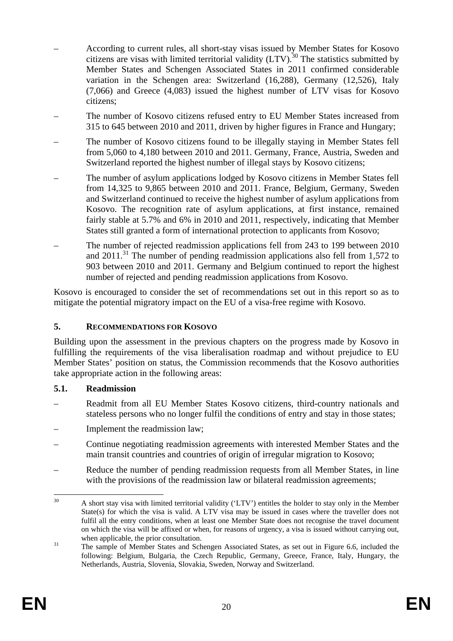- According to current rules, all short-stay visas issued by Member States for Kosovo citizens are visas with limited territorial validity  $(LTV)$ .<sup>30</sup> The statistics submitted by Member States and Schengen Associated States in 2011 confirmed considerable variation in the Schengen area: Switzerland (16,288), Germany (12,526), Italy (7,066) and Greece (4,083) issued the highest number of LTV visas for Kosovo citizens;
- The number of Kosovo citizens refused entry to EU Member States increased from 315 to 645 between 2010 and 2011, driven by higher figures in France and Hungary;
- The number of Kosovo citizens found to be illegally staying in Member States fell from 5,060 to 4,180 between 2010 and 2011. Germany, France, Austria, Sweden and Switzerland reported the highest number of illegal stays by Kosovo citizens;
- The number of asylum applications lodged by Kosovo citizens in Member States fell from 14,325 to 9,865 between 2010 and 2011. France, Belgium, Germany, Sweden and Switzerland continued to receive the highest number of asylum applications from Kosovo. The recognition rate of asylum applications, at first instance, remained fairly stable at 5.7% and 6% in 2010 and 2011, respectively, indicating that Member States still granted a form of international protection to applicants from Kosovo;
- The number of rejected readmission applications fell from 243 to 199 between 2010 and  $2011$ <sup>31</sup>. The number of pending readmission applications also fell from 1,572 to 903 between 2010 and 2011. Germany and Belgium continued to report the highest number of rejected and pending readmission applications from Kosovo.

Kosovo is encouraged to consider the set of recommendations set out in this report so as to mitigate the potential migratory impact on the EU of a visa-free regime with Kosovo.

### **5. RECOMMENDATIONS FOR KOSOVO**

Building upon the assessment in the previous chapters on the progress made by Kosovo in fulfilling the requirements of the visa liberalisation roadmap and without prejudice to EU Member States' position on status, the Commission recommends that the Kosovo authorities take appropriate action in the following areas:

#### **5.1. Readmission**

- Readmit from all EU Member States Kosovo citizens, third-country nationals and stateless persons who no longer fulfil the conditions of entry and stay in those states;
- Implement the readmission law;
- Continue negotiating readmission agreements with interested Member States and the main transit countries and countries of origin of irregular migration to Kosovo;
- Reduce the number of pending readmission requests from all Member States, in line with the provisions of the readmission law or bilateral readmission agreements;

 $30$ A short stay visa with limited territorial validity ('LTV') entitles the holder to stay only in the Member State(s) for which the visa is valid. A LTV visa may be issued in cases where the traveller does not fulfil all the entry conditions, when at least one Member State does not recognise the travel document on which the visa will be affixed or when, for reasons of urgency, a visa is issued without carrying out, when applicable, the prior consultation.<br><sup>31</sup> The sample of Member States and Schengen Associated States, as set out in Figure 6.6, included the

following: Belgium, Bulgaria, the Czech Republic, Germany, Greece, France, Italy, Hungary, the Netherlands, Austria, Slovenia, Slovakia, Sweden, Norway and Switzerland.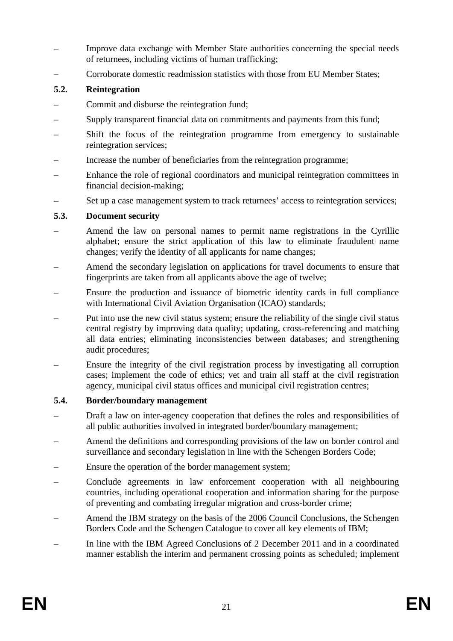- Improve data exchange with Member State authorities concerning the special needs of returnees, including victims of human trafficking;
- Corroborate domestic readmission statistics with those from EU Member States;

## **5.2. Reintegration**

- Commit and disburse the reintegration fund;
- Supply transparent financial data on commitments and payments from this fund;
- Shift the focus of the reintegration programme from emergency to sustainable reintegration services;
- Increase the number of beneficiaries from the reintegration programme;
- Enhance the role of regional coordinators and municipal reintegration committees in financial decision-making;
- Set up a case management system to track returnees' access to reintegration services;

## **5.3. Document security**

- Amend the law on personal names to permit name registrations in the Cyrillic alphabet; ensure the strict application of this law to eliminate fraudulent name changes; verify the identity of all applicants for name changes;
- Amend the secondary legislation on applications for travel documents to ensure that fingerprints are taken from all applicants above the age of twelve;
- Ensure the production and issuance of biometric identity cards in full compliance with International Civil Aviation Organisation (ICAO) standards;
- Put into use the new civil status system; ensure the reliability of the single civil status central registry by improving data quality; updating, cross-referencing and matching all data entries; eliminating inconsistencies between databases; and strengthening audit procedures;
- Ensure the integrity of the civil registration process by investigating all corruption cases; implement the code of ethics; vet and train all staff at the civil registration agency, municipal civil status offices and municipal civil registration centres;

## **5.4. Border/boundary management**

- Draft a law on inter-agency cooperation that defines the roles and responsibilities of all public authorities involved in integrated border/boundary management;
- Amend the definitions and corresponding provisions of the law on border control and surveillance and secondary legislation in line with the Schengen Borders Code;
- Ensure the operation of the border management system;
- Conclude agreements in law enforcement cooperation with all neighbouring countries, including operational cooperation and information sharing for the purpose of preventing and combating irregular migration and cross-border crime;
- Amend the IBM strategy on the basis of the 2006 Council Conclusions, the Schengen Borders Code and the Schengen Catalogue to cover all key elements of IBM;
- In line with the IBM Agreed Conclusions of 2 December 2011 and in a coordinated manner establish the interim and permanent crossing points as scheduled; implement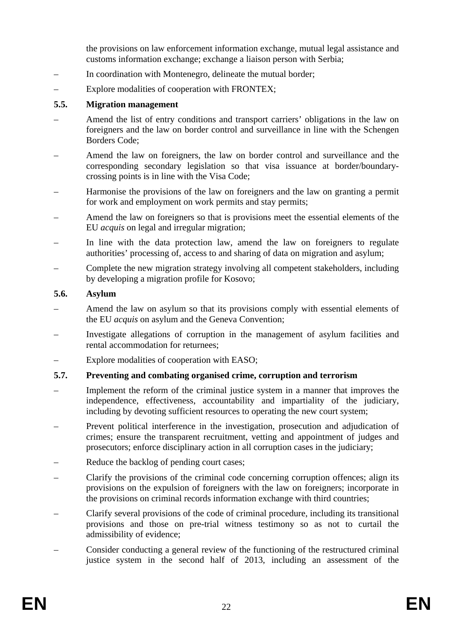the provisions on law enforcement information exchange, mutual legal assistance and customs information exchange; exchange a liaison person with Serbia;

- In coordination with Montenegro, delineate the mutual border;
- Explore modalities of cooperation with FRONTEX;

#### **5.5. Migration management**

- Amend the list of entry conditions and transport carriers' obligations in the law on foreigners and the law on border control and surveillance in line with the Schengen Borders Code;
- Amend the law on foreigners, the law on border control and surveillance and the corresponding secondary legislation so that visa issuance at border/boundarycrossing points is in line with the Visa Code;
- Harmonise the provisions of the law on foreigners and the law on granting a permit for work and employment on work permits and stay permits;
- Amend the law on foreigners so that is provisions meet the essential elements of the EU *acquis* on legal and irregular migration;
- In line with the data protection law, amend the law on foreigners to regulate authorities' processing of, access to and sharing of data on migration and asylum;
- Complete the new migration strategy involving all competent stakeholders, including by developing a migration profile for Kosovo;

#### **5.6. Asylum**

- Amend the law on asylum so that its provisions comply with essential elements of the EU *acquis* on asylum and the Geneva Convention;
- Investigate allegations of corruption in the management of asylum facilities and rental accommodation for returnees;
- Explore modalities of cooperation with EASO;

### **5.7. Preventing and combating organised crime, corruption and terrorism**

- Implement the reform of the criminal justice system in a manner that improves the independence, effectiveness, accountability and impartiality of the judiciary, including by devoting sufficient resources to operating the new court system;
- Prevent political interference in the investigation, prosecution and adjudication of crimes; ensure the transparent recruitment, vetting and appointment of judges and prosecutors; enforce disciplinary action in all corruption cases in the judiciary;
- Reduce the backlog of pending court cases:
- Clarify the provisions of the criminal code concerning corruption offences; align its provisions on the expulsion of foreigners with the law on foreigners; incorporate in the provisions on criminal records information exchange with third countries;
- Clarify several provisions of the code of criminal procedure, including its transitional provisions and those on pre-trial witness testimony so as not to curtail the admissibility of evidence;
- Consider conducting a general review of the functioning of the restructured criminal justice system in the second half of 2013, including an assessment of the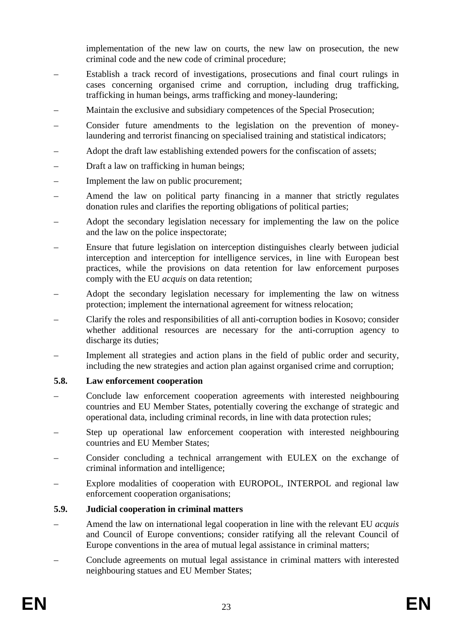implementation of the new law on courts, the new law on prosecution, the new criminal code and the new code of criminal procedure;

- Establish a track record of investigations, prosecutions and final court rulings in cases concerning organised crime and corruption, including drug trafficking, trafficking in human beings, arms trafficking and money-laundering;
- Maintain the exclusive and subsidiary competences of the Special Prosecution;
- Consider future amendments to the legislation on the prevention of moneylaundering and terrorist financing on specialised training and statistical indicators;
- Adopt the draft law establishing extended powers for the confiscation of assets;
- Draft a law on trafficking in human beings;
- Implement the law on public procurement:
- Amend the law on political party financing in a manner that strictly regulates donation rules and clarifies the reporting obligations of political parties;
- Adopt the secondary legislation necessary for implementing the law on the police and the law on the police inspectorate;
- Ensure that future legislation on interception distinguishes clearly between judicial interception and interception for intelligence services, in line with European best practices, while the provisions on data retention for law enforcement purposes comply with the EU *acquis* on data retention;
- Adopt the secondary legislation necessary for implementing the law on witness protection; implement the international agreement for witness relocation;
- Clarify the roles and responsibilities of all anti-corruption bodies in Kosovo; consider whether additional resources are necessary for the anti-corruption agency to discharge its duties;
- Implement all strategies and action plans in the field of public order and security, including the new strategies and action plan against organised crime and corruption;

#### **5.8. Law enforcement cooperation**

- Conclude law enforcement cooperation agreements with interested neighbouring countries and EU Member States, potentially covering the exchange of strategic and operational data, including criminal records, in line with data protection rules;
- Step up operational law enforcement cooperation with interested neighbouring countries and EU Member States;
- Consider concluding a technical arrangement with EULEX on the exchange of criminal information and intelligence;
- Explore modalities of cooperation with EUROPOL, INTERPOL and regional law enforcement cooperation organisations;

### **5.9. Judicial cooperation in criminal matters**

- Amend the law on international legal cooperation in line with the relevant EU *acquis* and Council of Europe conventions; consider ratifying all the relevant Council of Europe conventions in the area of mutual legal assistance in criminal matters;
- Conclude agreements on mutual legal assistance in criminal matters with interested neighbouring statues and EU Member States;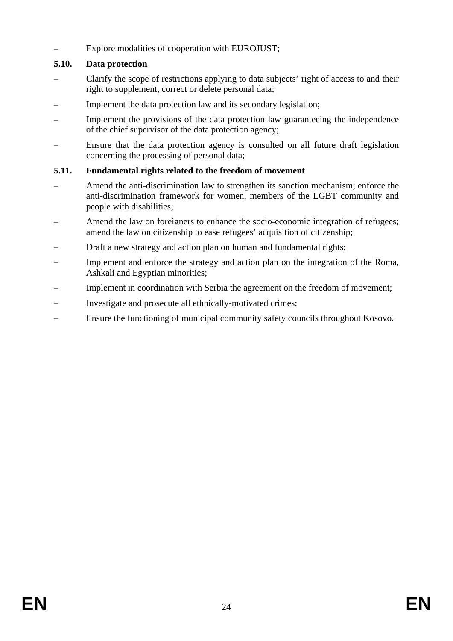– Explore modalities of cooperation with EUROJUST;

## **5.10. Data protection**

- Clarify the scope of restrictions applying to data subjects' right of access to and their right to supplement, correct or delete personal data;
- Implement the data protection law and its secondary legislation;
- Implement the provisions of the data protection law guaranteeing the independence of the chief supervisor of the data protection agency;
- Ensure that the data protection agency is consulted on all future draft legislation concerning the processing of personal data;

## **5.11. Fundamental rights related to the freedom of movement**

- Amend the anti-discrimination law to strengthen its sanction mechanism; enforce the anti-discrimination framework for women, members of the LGBT community and people with disabilities;
- Amend the law on foreigners to enhance the socio-economic integration of refugees; amend the law on citizenship to ease refugees' acquisition of citizenship;
- Draft a new strategy and action plan on human and fundamental rights;
- Implement and enforce the strategy and action plan on the integration of the Roma, Ashkali and Egyptian minorities;
- Implement in coordination with Serbia the agreement on the freedom of movement;
- Investigate and prosecute all ethnically-motivated crimes;
- Ensure the functioning of municipal community safety councils throughout Kosovo.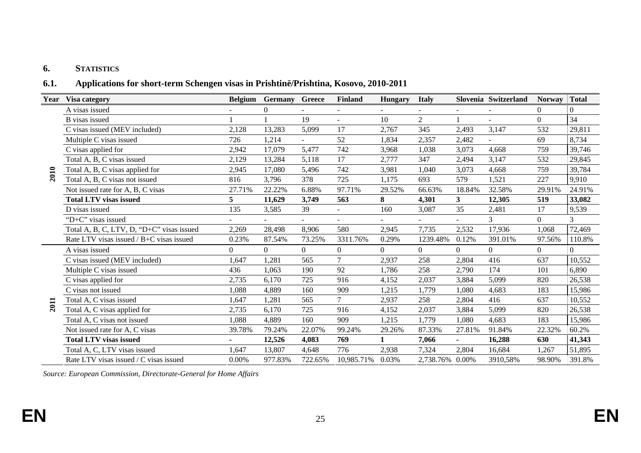#### **6.STATISTICS**

#### **6.1.Applications for short-term Schengen visas in Prishtinë/Prishtina, Kosovo, 2010-2011**

| Year | Visa category                             | <b>Belgium</b> | <b>Germany</b> | Greece  | <b>Finland</b> | <b>Hungary</b> | <b>Italy</b>    |                | Slovenia Switzerland | <b>Norway</b>    | <b>Total</b> |
|------|-------------------------------------------|----------------|----------------|---------|----------------|----------------|-----------------|----------------|----------------------|------------------|--------------|
|      | A visas issued                            |                | 0              |         |                |                |                 |                |                      | $\boldsymbol{0}$ |              |
|      | <b>B</b> visas issued                     |                |                | 19      | $\blacksquare$ | 10             | $\overline{2}$  |                | ÷,                   | $\boldsymbol{0}$ | 34           |
|      | C visas issued (MEV included)             | 2,128          | 13,283         | 5,099   | 17             | 2.767          | 345             | 2,493          | 3,147                | 532              | 29,811       |
|      | Multiple C visas issued                   | 726            | 1,214          |         | 52             | 1,834          | 2,357           | 2,482          | ÷                    | 69               | 8,734        |
|      | C visas applied for                       | 2,942          | 17,079         | 5,477   | 742            | 3,968          | 1,038           | 3,073          | 4,668                | 759              | 39,746       |
|      | Total A, B, C visas issued                | 2,129          | 13,284         | 5,118   | 17             | 2,777          | 347             | 2,494          | 3,147                | 532              | 29,845       |
| 2010 | Total A, B, C visas applied for           | 2,945          | 17,080         | 5,496   | 742            | 3,981          | 1,040           | 3,073          | 4,668                | 759              | 39,784       |
|      | Total A, B, C visas not issued            | 816            | 3,796          | 378     | 725            | 1,175          | 693             | 579            | 1,521                | 227              | 9,910        |
|      | Not issued rate for A, B, C visas         | 27.71%         | 22.22%         | 6.88%   | 97.71%         | 29.52%         | 66.63%          | 18.84%         | 32.58%               | 29.91%           | 24.91%       |
|      | <b>Total LTV visas issued</b>             | 5              | 11,629         | 3,749   | 563            | 8              | 4,301           | 3 <sup>1</sup> | 12,305               | 519              | 33,082       |
|      | D visas issued                            | 135            | 3,585          | 39      |                | 160            | 3,087           | 35             | 2,481                | 17               | 9,539        |
|      | "D+C" visas issued                        |                |                |         | ٠              | $\blacksquare$ |                 |                | 3                    | $\Omega$         |              |
|      | Total A, B, C, LTV, D, "D+C" visas issued | 2,269          | 28,498         | 8,906   | 580            | 2,945          | 7,735           | 2,532          | 17,936               | 1,068            | 72,469       |
|      | Rate LTV visas issued / B+C visas issued  | 0.23%          | 87.54%         | 73.25%  | 3311.76%       | 0.29%          | 1239.48%        | 0.12%          | 391.01%              | 97.56%           | 110.8%       |
|      | A visas issued                            | $\Omega$       | $\Omega$       | 0       | $\overline{0}$ | $\theta$       | $\Omega$        | $\theta$       | $\Omega$             | $\Omega$         | 0            |
|      | C visas issued (MEV included)             | 1,647          | 1,281          | 565     | $\overline{7}$ | 2,937          | 258             | 2,804          | 416                  | 637              | 10,552       |
|      | Multiple C visas issued                   | 436            | 1,063          | 190     | 92             | 1,786          | 258             | 2,790          | 174                  | 101              | 6,890        |
|      | C visas applied for                       | 2,735          | 6,170          | 725     | 916            | 4,152          | 2,037           | 3,884          | 5,099                | 820              | 26,538       |
|      | C visas not issued                        | 1,088          | 4,889          | 160     | 909            | 1,215          | 1,779           | 1,080          | 4,683                | 183              | 15,986       |
|      | Total A, C visas issued                   | 1,647          | 1,281          | 565     | $\tau$         | 2,937          | 258             | 2,804          | 416                  | 637              | 10,552       |
| 2011 | Total A, C visas applied for              | 2,735          | 6,170          | 725     | 916            | 4,152          | 2,037           | 3,884          | 5,099                | 820              | 26,538       |
|      | Total A, C visas not issued               | 1,088          | 4,889          | 160     | 909            | 1,215          | 1,779           | 1,080          | 4,683                | 183              | 15,986       |
|      | Not issued rate for A, C visas            | 39.78%         | 79.24%         | 22.07%  | 99.24%         | 29.26%         | 87.33%          | 27.81%         | 91.84%               | 22.32%           | 60.2%        |
|      | <b>Total LTV visas issued</b>             | $\blacksquare$ | 12,526         | 4,083   | 769            | 1              | 7,066           | $\blacksquare$ | 16,288               | 630              | 41,343       |
|      | Total A, C, LTV visas issued              | 1,647          | 13,807         | 4,648   | 776            | 2,938          | 7,324           | 2,804          | 16,684               | 1,267            | 51,895       |
|      | Rate LTV visas issued / C visas issued    | 0.00%          | 977.83%        | 722.65% | 10,985.71%     | 0.03%          | 2,738.76% 0.00% |                | 3910,58%             | 98.90%           | 391.8%       |

*Source: European Commission, Directorate-General for Home Affairs*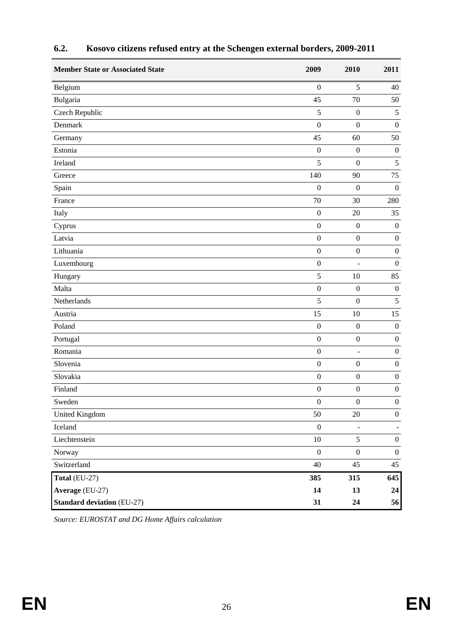| <b>Member State or Associated State</b> | 2009             | 2010             | 2011             |
|-----------------------------------------|------------------|------------------|------------------|
| Belgium                                 | $\boldsymbol{0}$ | 5                | 40               |
| Bulgaria                                | 45               | 70               | 50               |
| Czech Republic                          | 5                | $\boldsymbol{0}$ | 5                |
| Denmark                                 | $\overline{0}$   | $\mathbf{0}$     | $\boldsymbol{0}$ |
| Germany                                 | 45               | 60               | 50               |
| Estonia                                 | $\boldsymbol{0}$ | $\boldsymbol{0}$ | $\boldsymbol{0}$ |
| Ireland                                 | 5                | $\mathbf{0}$     | 5                |
| Greece                                  | 140              | 90               | 75               |
| Spain                                   | $\boldsymbol{0}$ | $\mathbf{0}$     | $\boldsymbol{0}$ |
| France                                  | 70               | 30               | 280              |
| Italy                                   | $\boldsymbol{0}$ | 20               | 35               |
| Cyprus                                  | $\boldsymbol{0}$ | $\boldsymbol{0}$ | $\boldsymbol{0}$ |
| Latvia                                  | $\boldsymbol{0}$ | $\boldsymbol{0}$ | $\boldsymbol{0}$ |
| Lithuania                               | $\boldsymbol{0}$ | $\boldsymbol{0}$ | $\boldsymbol{0}$ |
| Luxembourg                              | $\boldsymbol{0}$ |                  | $\boldsymbol{0}$ |
| Hungary                                 | 5                | 10               | 85               |
| Malta                                   | $\boldsymbol{0}$ | $\boldsymbol{0}$ | $\boldsymbol{0}$ |
| Netherlands                             | 5                | $\boldsymbol{0}$ | $\sqrt{5}$       |
| Austria                                 | 15               | 10               | 15               |
| Poland                                  | $\mathbf{0}$     | $\boldsymbol{0}$ | $\boldsymbol{0}$ |
| Portugal                                | $\boldsymbol{0}$ | $\boldsymbol{0}$ | $\boldsymbol{0}$ |
| Romania                                 | $\boldsymbol{0}$ | $\overline{a}$   | $\boldsymbol{0}$ |
| Slovenia                                | $\mathbf{0}$     | $\boldsymbol{0}$ | $\boldsymbol{0}$ |
| Slovakia                                | $\boldsymbol{0}$ | $\boldsymbol{0}$ | $\boldsymbol{0}$ |
| Finland                                 | $\boldsymbol{0}$ | $\boldsymbol{0}$ | $\boldsymbol{0}$ |
| Sweden                                  | $\boldsymbol{0}$ | $\boldsymbol{0}$ | $\boldsymbol{0}$ |
| <b>United Kingdom</b>                   | 50               | $20\,$           | $\boldsymbol{0}$ |
| Iceland                                 | $\boldsymbol{0}$ | $\Box$           | $\blacksquare$   |
| Liechtenstein                           | $10\,$           | 5                | $\boldsymbol{0}$ |
| Norway                                  | $\boldsymbol{0}$ | $\boldsymbol{0}$ | $\boldsymbol{0}$ |
| Switzerland                             | 40               | 45               | 45               |
| Total (EU-27)                           | 385              | 315              | 645              |
| Average (EU-27)                         | 14               | 13               | 24               |
| <b>Standard deviation (EU-27)</b>       | 31               | 24               | 56               |

# **6.2. Kosovo citizens refused entry at the Schengen external borders, 2009-2011**

*Source: EUROSTAT and DG Home Affairs calculation*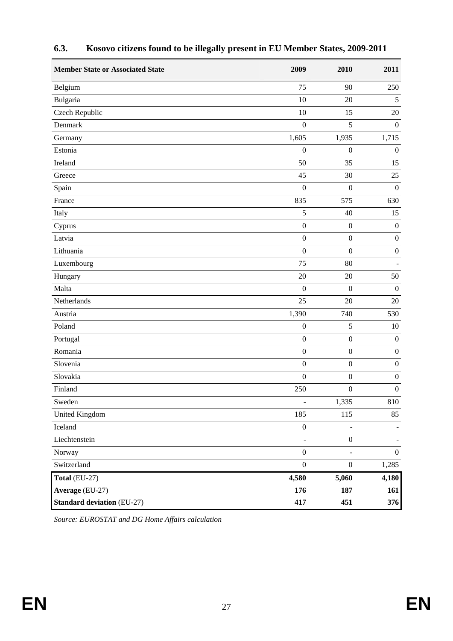| <b>Member State or Associated State</b> | 2009                     | 2010                         | 2011             |
|-----------------------------------------|--------------------------|------------------------------|------------------|
| Belgium                                 | 75                       | 90                           | 250              |
| Bulgaria                                | 10                       | 20                           | 5                |
| Czech Republic                          | 10                       | 15                           | 20               |
| Denmark                                 | $\boldsymbol{0}$         | 5                            | $\boldsymbol{0}$ |
| Germany                                 | 1,605                    | 1,935                        | 1,715            |
| Estonia                                 | $\boldsymbol{0}$         | $\boldsymbol{0}$             | $\boldsymbol{0}$ |
| Ireland                                 | 50                       | 35                           | 15               |
| Greece                                  | 45                       | 30                           | 25               |
| Spain                                   | $\boldsymbol{0}$         | $\boldsymbol{0}$             | $\boldsymbol{0}$ |
| France                                  | 835                      | 575                          | 630              |
| Italy                                   | 5                        | 40                           | 15               |
| Cyprus                                  | $\boldsymbol{0}$         | $\boldsymbol{0}$             | $\boldsymbol{0}$ |
| Latvia                                  | $\boldsymbol{0}$         | $\boldsymbol{0}$             | $\boldsymbol{0}$ |
| Lithuania                               | $\boldsymbol{0}$         | $\boldsymbol{0}$             | $\boldsymbol{0}$ |
| Luxembourg                              | 75                       | 80                           |                  |
| Hungary                                 | 20                       | 20                           | 50               |
| Malta                                   | $\mathbf{0}$             | $\mathbf{0}$                 | $\boldsymbol{0}$ |
| Netherlands                             | 25                       | 20                           | 20               |
| Austria                                 | 1,390                    | 740                          | 530              |
| Poland                                  | $\boldsymbol{0}$         | 5                            | 10               |
| Portugal                                | $\boldsymbol{0}$         | $\boldsymbol{0}$             | $\boldsymbol{0}$ |
| Romania                                 | $\boldsymbol{0}$         | $\boldsymbol{0}$             | $\boldsymbol{0}$ |
| Slovenia                                | $\boldsymbol{0}$         | $\boldsymbol{0}$             | $\boldsymbol{0}$ |
| Slovakia                                | $\boldsymbol{0}$         | $\boldsymbol{0}$             | $\boldsymbol{0}$ |
| Finland                                 | 250                      | $\boldsymbol{0}$             | $\boldsymbol{0}$ |
| Sweden                                  | $\overline{\phantom{a}}$ | 1,335                        | 810              |
| <b>United Kingdom</b>                   | 185                      | 115                          | 85               |
| Iceland                                 | $\boldsymbol{0}$         | $\blacksquare$               |                  |
| Liechtenstein                           | $\overline{\phantom{a}}$ | $\boldsymbol{0}$             |                  |
| Norway                                  | $\boldsymbol{0}$         | $\qquad \qquad \blacksquare$ | $\boldsymbol{0}$ |
| Switzerland                             | $\boldsymbol{0}$         | $\boldsymbol{0}$             | 1,285            |
| Total (EU-27)                           | 4,580                    | 5,060                        | 4,180            |
| Average (EU-27)                         | 176                      | 187                          | 161              |
| <b>Standard deviation (EU-27)</b>       | 417                      | 451                          | 376              |

# **6.3. Kosovo citizens found to be illegally present in EU Member States, 2009-2011**

*Source: EUROSTAT and DG Home Affairs calculation*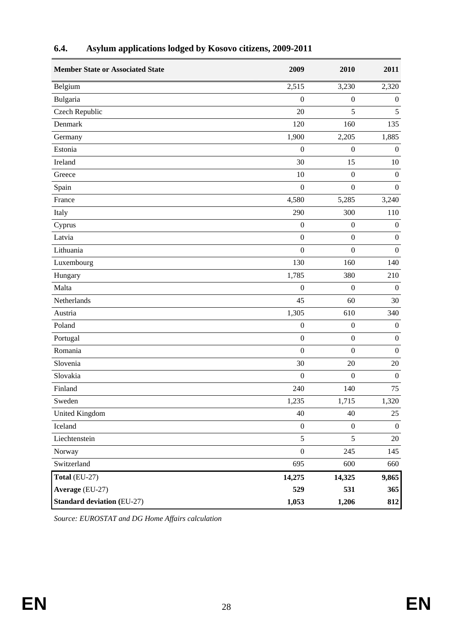| <b>Member State or Associated State</b> | 2009             | 2010             | 2011             |
|-----------------------------------------|------------------|------------------|------------------|
| Belgium                                 | 2,515            | 3,230            | 2,320            |
| Bulgaria                                | $\boldsymbol{0}$ | $\boldsymbol{0}$ | $\boldsymbol{0}$ |
| Czech Republic                          | 20               | 5                | 5                |
| Denmark                                 | 120              | 160              | 135              |
| Germany                                 | 1,900            | 2,205            | 1,885            |
| Estonia                                 | $\boldsymbol{0}$ | $\boldsymbol{0}$ | $\boldsymbol{0}$ |
| Ireland                                 | 30               | 15               | 10               |
| Greece                                  | 10               | $\boldsymbol{0}$ | $\boldsymbol{0}$ |
| Spain                                   | $\boldsymbol{0}$ | $\boldsymbol{0}$ | $\boldsymbol{0}$ |
| France                                  | 4,580            | 5,285            | 3,240            |
| Italy                                   | 290              | 300              | 110              |
| Cyprus                                  | $\boldsymbol{0}$ | $\boldsymbol{0}$ | $\boldsymbol{0}$ |
| Latvia                                  | $\boldsymbol{0}$ | $\boldsymbol{0}$ | $\boldsymbol{0}$ |
| Lithuania                               | $\boldsymbol{0}$ | $\boldsymbol{0}$ | $\boldsymbol{0}$ |
| Luxembourg                              | 130              | 160              | 140              |
| Hungary                                 | 1,785            | 380              | 210              |
| Malta                                   | $\boldsymbol{0}$ | $\boldsymbol{0}$ | $\boldsymbol{0}$ |
| Netherlands                             | 45               | 60               | 30               |
| Austria                                 | 1,305            | 610              | 340              |
| Poland                                  | $\boldsymbol{0}$ | $\boldsymbol{0}$ | $\boldsymbol{0}$ |
| Portugal                                | $\boldsymbol{0}$ | $\boldsymbol{0}$ | $\boldsymbol{0}$ |
| Romania                                 | $\overline{0}$   | $\boldsymbol{0}$ | $\boldsymbol{0}$ |
| Slovenia                                | 30               | 20               | 20               |
| Slovakia                                | $\boldsymbol{0}$ | $\boldsymbol{0}$ | $\boldsymbol{0}$ |
| Finland                                 | 240              | 140              | 75               |
| Sweden                                  | 1,235            | 1,715            | 1,320            |
| <b>United Kingdom</b>                   | 40               | 40               | 25               |
| Iceland                                 | $\boldsymbol{0}$ | $\boldsymbol{0}$ | $\boldsymbol{0}$ |
| Liechtenstein                           | $\sqrt{5}$       | 5                | 20               |
| Norway                                  | $\boldsymbol{0}$ | 245              | 145              |
| Switzerland                             | 695              | 600              | 660              |
| Total (EU-27)                           | 14,275           | 14,325           | 9,865            |
| Average (EU-27)                         | 529              | 531              | 365              |
| <b>Standard deviation (EU-27)</b>       | 1,053            | 1,206            | 812              |

# **6.4. Asylum applications lodged by Kosovo citizens, 2009-2011**

*Source: EUROSTAT and DG Home Affairs calculation*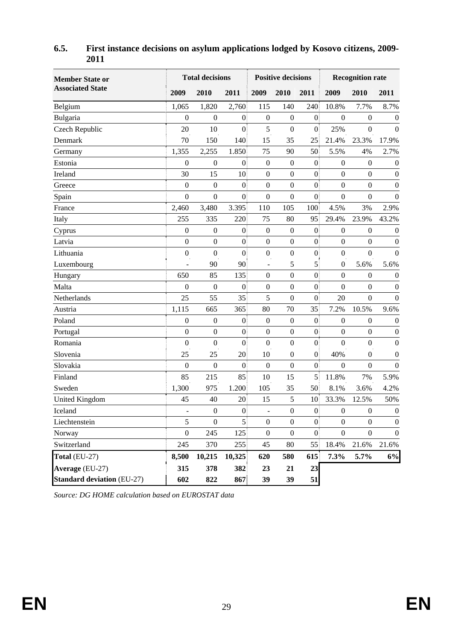| <b>Member State or</b>            | <b>Total decisions</b> |                  |                  | <b>Positive decisions</b> |                  |                  | <b>Recognition rate</b> |                  |                  |
|-----------------------------------|------------------------|------------------|------------------|---------------------------|------------------|------------------|-------------------------|------------------|------------------|
| <b>Associated State</b>           | 2009                   | 2010             | 2011             | 2009                      | 2010             | 2011             | 2009                    | 2010             | 2011             |
| Belgium                           | 1,065                  | 1,820            | 2,760            | 115                       | 140              | 240              | 10.8%                   | 7.7%             | 8.7%             |
| Bulgaria                          | $\boldsymbol{0}$       | $\boldsymbol{0}$ | $\overline{0}$   | $\boldsymbol{0}$          | $\boldsymbol{0}$ | $\overline{0}$   | $\boldsymbol{0}$        | $\boldsymbol{0}$ | $\boldsymbol{0}$ |
| Czech Republic                    | 20                     | 10               | $\overline{0}$   | 5                         | $\boldsymbol{0}$ | $\boldsymbol{0}$ | 25%                     | $\boldsymbol{0}$ | $\theta$         |
| Denmark                           | 70                     | 150              | 140              | 15                        | 35               | 25               | 21.4%                   | 23.3%            | 17.9%            |
| Germany                           | 1,355                  | 2,255            | 1.850            | 75                        | 90               | 50               | 5.5%                    | 4%               | 2.7%             |
| Estonia                           | $\overline{0}$         | $\boldsymbol{0}$ | $\boldsymbol{0}$ | $\boldsymbol{0}$          | $\boldsymbol{0}$ | $\boldsymbol{0}$ | $\boldsymbol{0}$        | $\boldsymbol{0}$ | $\boldsymbol{0}$ |
| Ireland                           | 30                     | 15               | 10               | $\boldsymbol{0}$          | $\boldsymbol{0}$ | $\boldsymbol{0}$ | $\boldsymbol{0}$        | $\boldsymbol{0}$ | $\boldsymbol{0}$ |
| Greece                            | $\boldsymbol{0}$       | $\overline{0}$   | $\overline{0}$   | $\boldsymbol{0}$          | $\boldsymbol{0}$ | $\boldsymbol{0}$ | $\mathbf{0}$            | $\mathbf{0}$     | $\boldsymbol{0}$ |
| Spain                             | $\overline{0}$         | $\boldsymbol{0}$ | $\overline{0}$   | $\boldsymbol{0}$          | $\boldsymbol{0}$ | $\boldsymbol{0}$ | $\boldsymbol{0}$        | $\boldsymbol{0}$ | $\mathbf{0}$     |
| France                            | 2,460                  | 3,480            | 3.395            | 110                       | 105              | 100              | 4.5%                    | 3%               | 2.9%             |
| Italy                             | 255                    | 335              | 220              | 75                        | 80               | 95               | 29.4%                   | 23.9%            | 43.2%            |
| Cyprus                            | $\boldsymbol{0}$       | $\boldsymbol{0}$ | $\mathbf{0}$     | $\boldsymbol{0}$          | $\boldsymbol{0}$ | $\mathbf{0}$     | $\boldsymbol{0}$        | $\mathbf{0}$     | $\boldsymbol{0}$ |
| Latvia                            | $\boldsymbol{0}$       | $\boldsymbol{0}$ | $\overline{0}$   | $\boldsymbol{0}$          | $\boldsymbol{0}$ | $\overline{0}$   | $\boldsymbol{0}$        | $\boldsymbol{0}$ | $\boldsymbol{0}$ |
| Lithuania                         | $\boldsymbol{0}$       | $\overline{0}$   | $\mathbf{0}$     | $\boldsymbol{0}$          | $\boldsymbol{0}$ | $\boldsymbol{0}$ | $\boldsymbol{0}$        | $\mathbf{0}$     | $\boldsymbol{0}$ |
| Luxembourg                        | ÷                      | 90               | 90               | $\overline{\phantom{a}}$  | 5                | 5                | $\boldsymbol{0}$        | 5.6%             | 5.6%             |
| Hungary                           | 650                    | 85               | 135              | $\boldsymbol{0}$          | $\boldsymbol{0}$ | $\boldsymbol{0}$ | $\boldsymbol{0}$        | $\boldsymbol{0}$ | $\boldsymbol{0}$ |
| Malta                             | $\boldsymbol{0}$       | $\boldsymbol{0}$ | $\boldsymbol{0}$ | $\boldsymbol{0}$          | $\boldsymbol{0}$ | $\boldsymbol{0}$ | $\boldsymbol{0}$        | $\boldsymbol{0}$ | $\boldsymbol{0}$ |
| Netherlands                       | 25                     | 55               | 35               | 5                         | $\boldsymbol{0}$ | $\mathbf{0}$     | 20                      | $\boldsymbol{0}$ | $\mathbf{0}$     |
| Austria                           | 1,115                  | 665              | 365              | 80                        | 70               | 35               | 7.2%                    | 10.5%            | 9.6%             |
| Poland                            | $\boldsymbol{0}$       | $\boldsymbol{0}$ | $\overline{0}$   | $\boldsymbol{0}$          | $\boldsymbol{0}$ | $\boldsymbol{0}$ | $\boldsymbol{0}$        | $\boldsymbol{0}$ | $\boldsymbol{0}$ |
| Portugal                          | $\overline{0}$         | $\overline{0}$   | $\mathbf{0}$     | $\mathbf{0}$              | $\boldsymbol{0}$ | $\boldsymbol{0}$ | $\boldsymbol{0}$        | $\boldsymbol{0}$ | $\boldsymbol{0}$ |
| Romania                           | $\boldsymbol{0}$       | $\boldsymbol{0}$ | $\boldsymbol{0}$ | $\boldsymbol{0}$          | $\boldsymbol{0}$ | $\boldsymbol{0}$ | $\boldsymbol{0}$        | $\boldsymbol{0}$ | $\boldsymbol{0}$ |
| Slovenia                          | 25                     | 25               | 20               | 10                        | $\boldsymbol{0}$ | $\boldsymbol{0}$ | 40%                     | $\mathbf{0}$     | $\boldsymbol{0}$ |
| Slovakia                          | $\mathbf{0}$           | $\mathbf{0}$     | $\boldsymbol{0}$ | $\boldsymbol{0}$          | $\mathbf{0}$     | $\boldsymbol{0}$ | $\overline{0}$          | $\boldsymbol{0}$ | $\mathbf{0}$     |
| Finland                           | 85                     | 215              | 85               | 10                        | 15               | 5                | 11.8%                   | 7%               | 5.9%             |
| Sweden                            | 1,300                  | 975              | 1.200            | 105                       | 35               | 50               | 8.1%                    | 3.6%             | 4.2%             |
| United Kingdom                    | 45                     | 40               | 20               | 15                        | 5                | 10               | 33.3%                   | 12.5%            | 50%              |
| Iceland                           | -                      | $\boldsymbol{0}$ | $\mathbf{0}$     | $\overline{\phantom{a}}$  | $\boldsymbol{0}$ | $\mathbf{0}$     | $\boldsymbol{0}$        | $\boldsymbol{0}$ | $\boldsymbol{0}$ |
| Liechtenstein                     | 5                      | $\boldsymbol{0}$ | $\overline{5}$   | $\boldsymbol{0}$          | $\boldsymbol{0}$ | $\vert 0 \vert$  | $\boldsymbol{0}$        | $\boldsymbol{0}$ | $\boldsymbol{0}$ |
| Norway                            | $\boldsymbol{0}$       | 245              | 125              | $\boldsymbol{0}$          | $\boldsymbol{0}$ | $\vert 0 \vert$  | $\boldsymbol{0}$        | $\boldsymbol{0}$ | $\boldsymbol{0}$ |
| Switzerland                       | 245                    | 370              | 255              | 45                        | 80               | 55               | 18.4%                   | 21.6%            | 21.6%            |
| Total (EU-27)                     | 8,500                  | 10,215           | 10,325           | 620                       | 580              | 615              | 7.3%                    | 5.7%             | 6%               |
| Average (EU-27)                   | 315                    | 378              | 382              | 23                        | 21               | 23               |                         |                  |                  |
| <b>Standard deviation (EU-27)</b> | 602                    | 822              | 867              | 39                        | 39               | 51               |                         |                  |                  |

## **6.5. First instance decisions on asylum applications lodged by Kosovo citizens, 2009- 2011**

*Source: DG HOME calculation based on EUROSTAT data*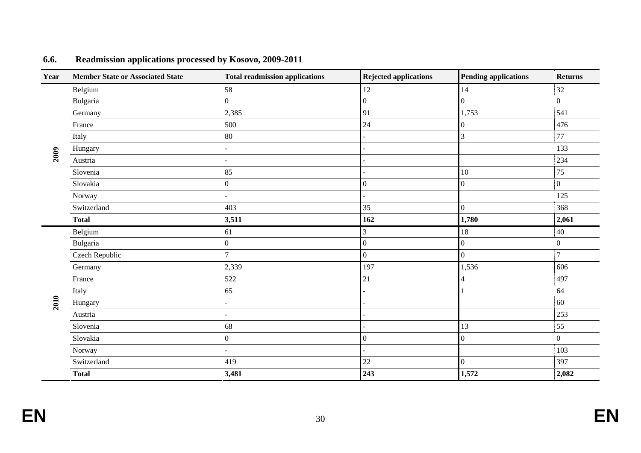| Year | <b>Member State or Associated State</b> | <b>Total readmission applications</b> | <b>Rejected applications</b> | <b>Pending applications</b> | <b>Returns</b>   |
|------|-----------------------------------------|---------------------------------------|------------------------------|-----------------------------|------------------|
|      | Belgium                                 | 58                                    | 12                           | 14                          | 32               |
|      | Bulgaria                                | $\overline{0}$                        | $\overline{0}$               | $\Omega$                    | $\overline{0}$   |
|      | Germany                                 | 2,385                                 | 91                           | 1,753                       | 541              |
|      | France                                  | 500                                   | 24                           | $\mathbf{0}$                | 476              |
|      | Italy                                   | 80                                    |                              | 3                           | 77               |
|      | Hungary                                 | $\sim$                                |                              |                             | 133              |
| 2009 | Austria                                 | $\overline{\phantom{a}}$              |                              |                             | 234              |
|      | Slovenia                                | 85                                    |                              | 10                          | 75               |
|      | Slovakia                                | $\boldsymbol{0}$                      | 0                            | $\Omega$                    | $\overline{0}$   |
|      | Norway                                  | $\sim$                                |                              |                             | 125              |
|      | Switzerland                             | 403                                   | 35                           | $\overline{0}$              | 368              |
|      | <b>Total</b>                            | 3,511                                 | 162                          | 1,780                       | 2,061            |
|      | Belgium                                 | 61                                    | 3                            | 18                          | 40               |
|      | Bulgaria                                | $\boldsymbol{0}$                      | $\boldsymbol{0}$             | $\overline{0}$              | $\boldsymbol{0}$ |
|      | Czech Republic                          | $\overline{7}$                        | $\overline{0}$               | $\mathbf{0}$                | $\overline{7}$   |
|      | Germany                                 | 2,339                                 | 197                          | 1,536                       | 606              |
|      | France                                  | 522                                   | 21                           | 4                           | 497              |
|      | Italy                                   | 65                                    |                              |                             | 64               |
| 2010 | Hungary                                 | $\blacksquare$                        |                              |                             | 60               |
|      | Austria                                 | $\overline{\phantom{a}}$              |                              |                             | 253              |
|      | Slovenia                                | 68                                    |                              | 13                          | 55               |
|      | Slovakia                                | $\boldsymbol{0}$                      | $\overline{0}$               | $\mathbf{0}$                | $\overline{0}$   |
|      | Norway                                  | $\sim$                                |                              |                             | 103              |
|      | Switzerland                             | 419                                   | $22\,$                       | $\overline{0}$              | 397              |
|      | <b>Total</b>                            | 3,481                                 | 243                          | 1,572                       | 2,082            |

#### **6.6.Readmission applications processed by Kosovo, 2009-2011**